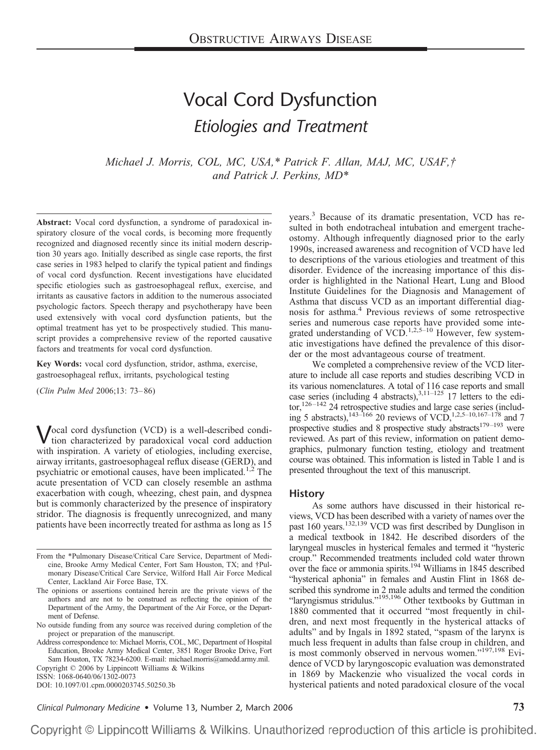# Vocal Cord Dysfunction *Etiologies and Treatment*

*Michael J. Morris, COL, MC, USA,\* Patrick F. Allan, MAJ, MC, USAF,† and Patrick J. Perkins, MD\**

**Abstract:** Vocal cord dysfunction, a syndrome of paradoxical inspiratory closure of the vocal cords, is becoming more frequently recognized and diagnosed recently since its initial modern description 30 years ago. Initially described as single case reports, the first case series in 1983 helped to clarify the typical patient and findings of vocal cord dysfunction. Recent investigations have elucidated specific etiologies such as gastroesophageal reflux, exercise, and irritants as causative factors in addition to the numerous associated psychologic factors. Speech therapy and psychotherapy have been used extensively with vocal cord dysfunction patients, but the optimal treatment has yet to be prospectively studied. This manuscript provides a comprehensive review of the reported causative factors and treatments for vocal cord dysfunction.

**Key Words:** vocal cord dysfunction, stridor, asthma, exercise, gastroesophageal reflux, irritants, psychological testing

(*Clin Pulm Med* 2006;13: 73– 86)

Vocal cord dysfunction (VCD) is a well-described condition characterized by paradoxical vocal cord adduction with inspiration. A variety of etiologies, including exercise, airway irritants, gastroesophageal reflux disease (GERD), and psychiatric or emotional causes, have been implicated.<sup>1,2</sup> The acute presentation of VCD can closely resemble an asthma exacerbation with cough, wheezing, chest pain, and dyspnea but is commonly characterized by the presence of inspiratory stridor. The diagnosis is frequently unrecognized, and many patients have been incorrectly treated for asthma as long as 15

ISSN: 1068-0640/06/1302-0073

DOI: 10.1097/01.cpm.0000203745.50250.3b

years.3 Because of its dramatic presentation, VCD has resulted in both endotracheal intubation and emergent tracheostomy. Although infrequently diagnosed prior to the early 1990s, increased awareness and recognition of VCD have led to descriptions of the various etiologies and treatment of this disorder. Evidence of the increasing importance of this disorder is highlighted in the National Heart, Lung and Blood Institute Guidelines for the Diagnosis and Management of Asthma that discuss VCD as an important differential diagnosis for asthma.<sup>4</sup> Previous reviews of some retrospective series and numerous case reports have provided some integrated understanding of  $VCD$ .<sup>1,2,5–10</sup> However, few systematic investigations have defined the prevalence of this disorder or the most advantageous course of treatment.

We completed a comprehensive review of the VCD literature to include all case reports and studies describing VCD in its various nomenclatures. A total of 116 case reports and small case series (including 4 abstracts),  $3,11-125$  17 letters to the editor,<sup>126-142</sup> 24 retrospective studies and large case series (including 5 abstracts),<sup>143–166</sup> 20 reviews of VCD,<sup>1,2,5–10,167–178</sup> and 7 prospective studies and 8 prospective study abstracts<sup>179–193</sup> were reviewed. As part of this review, information on patient demographics, pulmonary function testing, etiology and treatment course was obtained. This information is listed in Table 1 and is presented throughout the text of this manuscript.

#### **History**

As some authors have discussed in their historical reviews, VCD has been described with a variety of names over the past 160 years.132,139 VCD was first described by Dunglison in a medical textbook in 1842. He described disorders of the laryngeal muscles in hysterical females and termed it "hysteric croup." Recommended treatments included cold water thrown over the face or ammonia spirits.<sup>194</sup> Williams in 1845 described "hysterical aphonia" in females and Austin Flint in 1868 described this syndrome in 2 male adults and termed the condition "laryngismus stridulus."195,196 Other textbooks by Guttman in 1880 commented that it occurred "most frequently in children, and next most frequently in the hysterical attacks of adults" and by Ingals in 1892 stated, "spasm of the larynx is much less frequent in adults than false croup in children, and is most commonly observed in nervous women."<sup>197,198</sup> Evidence of VCD by laryngoscopic evaluation was demonstrated in 1869 by Mackenzie who visualized the vocal cords in hysterical patients and noted paradoxical closure of the vocal

*Clinical Pulmonary Medicine* • Volume 13, Number 2, March 2006 **73**

From the \*Pulmonary Disease/Critical Care Service, Department of Medicine, Brooke Army Medical Center, Fort Sam Houston, TX; and †Pulmonary Disease/Critical Care Service, Wilford Hall Air Force Medical Center, Lackland Air Force Base, TX.

The opinions or assertions contained herein are the private views of the authors and are not to be construed as reflecting the opinion of the Department of the Army, the Department of the Air Force, or the Department of Defense.

No outside funding from any source was received during completion of the project or preparation of the manuscript.

Address correspondence to: Michael Morris, COL, MC, Department of Hospital Education, Brooke Army Medical Center, 3851 Roger Brooke Drive, Fort Sam Houston, TX 78234-6200. E-mail: michael.morris@amedd.army.mil. Copyright © 2006 by Lippincott Williams & Wilkins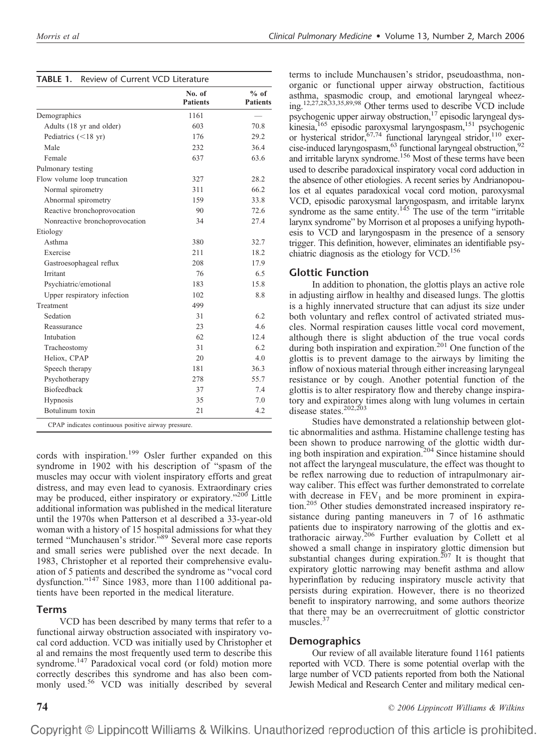| <b>TABLE 1.</b> Review of Current VCD Literature |  |  |  |  |
|--------------------------------------------------|--|--|--|--|
|--------------------------------------------------|--|--|--|--|

|                                | No. of<br><b>Patients</b> | $%$ of<br><b>Patients</b> |
|--------------------------------|---------------------------|---------------------------|
| Demographics                   | 1161                      |                           |
| Adults (18 yr and older)       | 603                       | 70.8                      |
| Pediatrics $(<18$ yr)          | 176                       | 29.2                      |
| Male                           | 232                       | 36.4                      |
| Female                         | 637                       | 63.6                      |
| Pulmonary testing              |                           |                           |
| Flow volume loop truncation    | 327                       | 28.2                      |
| Normal spirometry              | 311                       | 66.2                      |
| Abnormal spirometry            | 159                       | 33.8                      |
| Reactive bronchoprovocation    | 90                        | 72.6                      |
| Nonreactive bronchoprovocation | 34                        | 27.4                      |
| Etiology                       |                           |                           |
| Asthma                         | 380                       | 32.7                      |
| Exercise                       | 211                       | 18.2                      |
| Gastroesophageal reflux        | 208                       | 17.9                      |
| Irritant                       | 76                        | 6.5                       |
| Psychiatric/emotional          | 183                       | 15.8                      |
| Upper respiratory infection    | 102                       | 8.8                       |
| Treatment                      | 499                       |                           |
| Sedation                       | 31                        | 6.2                       |
| Reassurance                    | 23                        | 4.6                       |
| Intubation                     | 62                        | 12.4                      |
| Tracheostomy                   | 31                        | 6.2                       |
| Heliox, CPAP                   | 20                        | 4.0                       |
| Speech therapy                 | 181                       | 36.3                      |
| Psychotherapy                  | 278                       | 55.7                      |
| Biofeedback                    | 37                        | 7.4                       |
| Hypnosis                       | 35                        | 7.0                       |
| Botulinum toxin                | 21                        | 4.2                       |

cords with inspiration.<sup>199</sup> Osler further expanded on this syndrome in 1902 with his description of "spasm of the muscles may occur with violent inspiratory efforts and great distress, and may even lead to cyanosis. Extraordinary cries may be produced, either inspiratory or expiratory."<sup>200</sup> Little additional information was published in the medical literature until the 1970s when Patterson et al described a 33-year-old woman with a history of 15 hospital admissions for what they termed "Munchausen's stridor."89 Several more case reports and small series were published over the next decade. In 1983, Christopher et al reported their comprehensive evaluation of 5 patients and described the syndrome as "vocal cord dysfunction."147 Since 1983, more than 1100 additional patients have been reported in the medical literature.

# **Terms**

VCD has been described by many terms that refer to a functional airway obstruction associated with inspiratory vocal cord adduction. VCD was initially used by Christopher et al and remains the most frequently used term to describe this syndrome.<sup>147</sup> Paradoxical vocal cord (or fold) motion more correctly describes this syndrome and has also been commonly used.<sup>56</sup> VCD was initially described by several

terms to include Munchausen's stridor, pseudoasthma, nonorganic or functional upper airway obstruction, factitious asthma, spasmodic croup, and emotional laryngeal wheezing.12,27,28,33,35,89,98 Other terms used to describe VCD include psychogenic upper airway obstruction,17 episodic laryngeal dyskinesia,<sup>165</sup> episodic paroxysmal laryngospasm,<sup>151</sup> psychogenic or hysterical stridor,<sup>67,74</sup> functional laryngeal stridor,<sup>110</sup> exercise-induced laryngospasm,<sup>63</sup> functional laryngeal obstruction,<sup>92</sup> and irritable larynx syndrome.<sup>156</sup> Most of these terms have been used to describe paradoxical inspiratory vocal cord adduction in the absence of other etiologies. A recent series by Andrianopoulos et al equates paradoxical vocal cord motion, paroxysmal VCD, episodic paroxysmal laryngospasm, and irritable larynx syndrome as the same entity. $145$  The use of the term "irritable larynx syndrome" by Morrison et al proposes a unifying hypothesis to VCD and laryngospasm in the presence of a sensory trigger. This definition, however, eliminates an identifiable psychiatric diagnosis as the etiology for  $VCD$ .<sup>156</sup>

# **Glottic Function**

In addition to phonation, the glottis plays an active role in adjusting airflow in healthy and diseased lungs. The glottis is a highly innervated structure that can adjust its size under both voluntary and reflex control of activated striated muscles. Normal respiration causes little vocal cord movement, although there is slight abduction of the true vocal cords during both inspiration and expiration.<sup>201</sup> One function of the glottis is to prevent damage to the airways by limiting the inflow of noxious material through either increasing laryngeal resistance or by cough. Another potential function of the glottis is to alter respiratory flow and thereby change inspiratory and expiratory times along with lung volumes in certain disease states.<sup>202,203</sup>

Studies have demonstrated a relationship between glottic abnormalities and asthma. Histamine challenge testing has been shown to produce narrowing of the glottic width during both inspiration and expiration.204 Since histamine should not affect the laryngeal musculature, the effect was thought to be reflex narrowing due to reduction of intrapulmonary airway caliber. This effect was further demonstrated to correlate with decrease in  $FEV<sub>1</sub>$  and be more prominent in expiration.205 Other studies demonstrated increased inspiratory resistance during panting maneuvers in 7 of 16 asthmatic patients due to inspiratory narrowing of the glottis and extrathoracic airway.<sup>206</sup> Further evaluation by Collett et al showed a small change in inspiratory glottic dimension but substantial changes during expiration.<sup>207</sup> It is thought that expiratory glottic narrowing may benefit asthma and allow hyperinflation by reducing inspiratory muscle activity that persists during expiration. However, there is no theorized benefit to inspiratory narrowing, and some authors theorize that there may be an overrecruitment of glottic constrictor muscles.<sup>37</sup>

# **Demographics**

Our review of all available literature found 1161 patients reported with VCD. There is some potential overlap with the large number of VCD patients reported from both the National Jewish Medical and Research Center and military medical cen-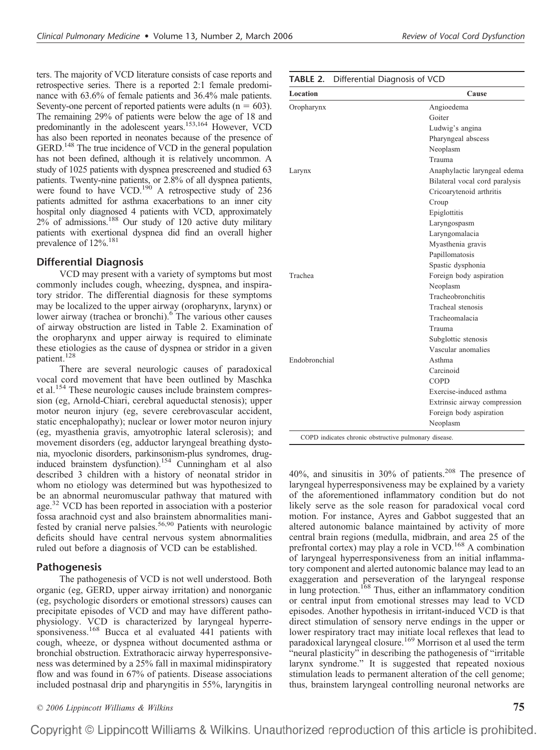ters. The majority of VCD literature consists of case reports and retrospective series. There is a reported 2:1 female predominance with 63.6% of female patients and 36.4% male patients. Seventy-one percent of reported patients were adults  $(n = 603)$ . The remaining 29% of patients were below the age of 18 and predominantly in the adolescent years.<sup>153,164</sup> However, VCD has also been reported in neonates because of the presence of GERD.<sup>148</sup> The true incidence of VCD in the general population has not been defined, although it is relatively uncommon. A study of 1025 patients with dyspnea prescreened and studied 63 patients. Twenty-nine patients, or 2.8% of all dyspnea patients, were found to have  $VCD$ .<sup>190</sup> A retrospective study of 236 patients admitted for asthma exacerbations to an inner city hospital only diagnosed 4 patients with VCD, approximately  $2\%$  of admissions.<sup>188</sup> Our study of 120 active duty military patients with exertional dyspnea did find an overall higher prevalence of  $12\%$ .<sup>181</sup>

#### **Differential Diagnosis**

VCD may present with a v commonly includes cough, when tory stridor. The differential dia may be localized to the upper air lower airway (trachea or bronchi of airway obstruction are listed the oropharynx and upper airw these etiologies as the cause of d patient.<sup>128</sup>

There are several neurole vocal cord movement that have been outlined by Maschka et al.<sup>154</sup> These neurologic causes include brainstem compression (eg, Arnold-Chiari, cerebral aqueductal stenosis); upper motor neuron injury (eg, severe cerebrovascular accident, static encephalopathy); nuclear or lower motor neuron injury (eg, myasthenia gravis, amyotrophic lateral sclerosis); and movement disorders (eg, adductor laryngeal breathing dystonia, myoclonic disorders, parkinsonism-plus syndromes, druginduced brainstem dysfunction).154 Cunningham et al also described 3 children with a history of neonatal stridor in whom no etiology was determined but was hypothesized to be an abnormal neuromuscular pathway that matured with age.<sup>32</sup> VCD has been reported in association with a posterior fossa arachnoid cyst and also brainstem abnormalities manifested by cranial nerve palsies.<sup>56,90</sup> Patients with neurologic deficits should have central nervous system abnormalities ruled out before a diagnosis of VCD can be established.

# **Pathogenesis**

The pathogenesis of VCD is not well understood. Both organic (eg, GERD, upper airway irritation) and nonorganic (eg, psychologic disorders or emotional stressors) causes can precipitate episodes of VCD and may have different pathophysiology. VCD is characterized by laryngeal hyperresponsiveness.<sup>168</sup> Bucca et al evaluated 441 patients with cough, wheeze, or dyspnea without documented asthma or bronchial obstruction. Extrathoracic airway hyperresponsiveness was determined by a 25% fall in maximal midinspiratory flow and was found in 67% of patients. Disease associations included postnasal drip and pharyngitis in 55%, laryngitis in

| ariety of symptoms but most               | Trachea       |
|-------------------------------------------|---------------|
| ezing, dyspnea, and inspira-              |               |
| agnosis for these symptoms                |               |
| rway (oropharynx, larynx) or              |               |
| i). <sup>6</sup> The various other causes |               |
| in Table 2. Examination of                |               |
| vay is required to eliminate              |               |
| dyspnea or stridor in a given             |               |
|                                           | Endobronchial |
| ogic causes of paradoxical                |               |
|                                           |               |

| <b>TABLE 2.</b> Differential Diagnosis of VCD |  |  |  |
|-----------------------------------------------|--|--|--|
|-----------------------------------------------|--|--|--|

| Location                                              | Cause                          |
|-------------------------------------------------------|--------------------------------|
| Oropharynx                                            | Angioedema                     |
|                                                       | Goiter                         |
|                                                       | Ludwig's angina                |
|                                                       | Pharyngeal abscess             |
|                                                       | Neoplasm                       |
|                                                       | Trauma                         |
| Larynx                                                | Anaphylactic laryngeal edema   |
|                                                       | Bilateral vocal cord paralysis |
|                                                       | Cricoarytenoid arthritis       |
|                                                       | Croup                          |
|                                                       | Epiglottitis                   |
|                                                       | Laryngospasm                   |
|                                                       | Laryngomalacia                 |
|                                                       | Myasthenia gravis              |
|                                                       | Papillomatosis                 |
|                                                       | Spastic dysphonia              |
| Trachea                                               | Foreign body aspiration        |
|                                                       | Neoplasm                       |
|                                                       | Tracheobronchitis              |
|                                                       | Tracheal stenosis              |
|                                                       | Tracheomalacia                 |
|                                                       | Trauma                         |
|                                                       | Subglottic stenosis            |
|                                                       | Vascular anomalies             |
| Endobronchial                                         | Asthma                         |
|                                                       | Carcinoid                      |
|                                                       | <b>COPD</b>                    |
|                                                       | Exercise-induced asthma        |
|                                                       | Extrinsic airway compression   |
|                                                       | Foreign body aspiration        |
|                                                       | Neoplasm                       |
| COPD indicates chronic obstructive pulmonary disease. |                                |

40%, and sinusitis in 30% of patients.<sup>208</sup> The presence of laryngeal hyperresponsiveness may be explained by a variety of the aforementioned inflammatory condition but do not likely serve as the sole reason for paradoxical vocal cord motion. For instance, Ayres and Gabbot suggested that an altered autonomic balance maintained by activity of more central brain regions (medulla, midbrain, and area 25 of the prefrontal cortex) may play a role in VCD.<sup>168</sup> A combination of laryngeal hyperresponsiveness from an initial inflammatory component and alerted autonomic balance may lead to an exaggeration and perseveration of the laryngeal response in lung protection.<sup>168</sup> Thus, either an inflammatory condition or central input from emotional stresses may lead to VCD episodes. Another hypothesis in irritant-induced VCD is that direct stimulation of sensory nerve endings in the upper or lower respiratory tract may initiate local reflexes that lead to paradoxical laryngeal closure.169 Morrison et al used the term "neural plasticity" in describing the pathogenesis of "irritable larynx syndrome." It is suggested that repeated noxious stimulation leads to permanent alteration of the cell genome; thus, brainstem laryngeal controlling neuronal networks are

*© 2006 Lippincott Williams & Wilkins* **75**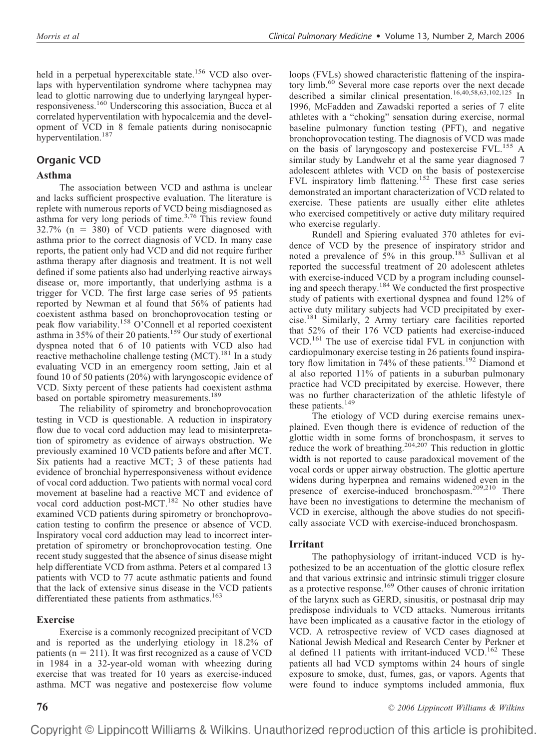held in a perpetual hyperexcitable state.<sup>156</sup> VCD also overlaps with hyperventilation syndrome where tachypnea may lead to glottic narrowing due to underlying laryngeal hyperresponsiveness.160 Underscoring this association, Bucca et al correlated hyperventilation with hypocalcemia and the development of VCD in 8 female patients during nonisocapnic hyperventilation.<sup>187</sup>

# **Organic VCD**

# **Asthma**

The association between VCD and asthma is unclear and lacks sufficient prospective evaluation. The literature is replete with numerous reports of VCD being misdiagnosed as asthma for very long periods of time. $3,76$  This review found  $32.7\%$  (n = 380) of VCD patients were diagnosed with asthma prior to the correct diagnosis of VCD. In many case reports, the patient only had VCD and did not require further asthma therapy after diagnosis and treatment. It is not well defined if some patients also had underlying reactive airways disease or, more importantly, that underlying asthma is a trigger for VCD. The first large case series of 95 patients reported by Newman et al found that 56% of patients had coexistent asthma based on bronchoprovocation testing or peak flow variability.158 O'Connell et al reported coexistent asthma in 35% of their 20 patients.<sup>159</sup> Our study of exertional dyspnea noted that 6 of 10 patients with VCD also had reactive methacholine challenge testing (MCT).<sup>181</sup> In a study evaluating VCD in an emergency room setting, Jain et al found 10 of 50 patients (20%) with laryngoscopic evidence of VCD. Sixty percent of these patients had coexistent asthma based on portable spirometry measurements.<sup>189</sup>

The reliability of spirometry and bronchoprovocation testing in VCD is questionable. A reduction in inspiratory flow due to vocal cord adduction may lead to misinterpretation of spirometry as evidence of airways obstruction. We previously examined 10 VCD patients before and after MCT. Six patients had a reactive MCT; 3 of these patients had evidence of bronchial hyperresponsiveness without evidence of vocal cord adduction. Two patients with normal vocal cord movement at baseline had a reactive MCT and evidence of vocal cord adduction post-MCT.<sup>182</sup> No other studies have examined VCD patients during spirometry or bronchoprovocation testing to confirm the presence or absence of VCD. Inspiratory vocal cord adduction may lead to incorrect interpretation of spirometry or bronchoprovocation testing. One recent study suggested that the absence of sinus disease might help differentiate VCD from asthma. Peters et al compared 13 patients with VCD to 77 acute asthmatic patients and found that the lack of extensive sinus disease in the VCD patients differentiated these patients from asthmatics.<sup>163</sup>

# **Exercise**

Exercise is a commonly recognized precipitant of VCD and is reported as the underlying etiology in 18.2% of patients ( $n = 211$ ). It was first recognized as a cause of VCD in 1984 in a 32-year-old woman with wheezing during exercise that was treated for 10 years as exercise-induced asthma. MCT was negative and postexercise flow volume

loops (FVLs) showed characteristic flattening of the inspiratory limb.<sup>60</sup> Several more case reports over the next decade described a similar clinical presentation.<sup>16,40,58,63,102,125</sup> In 1996, McFadden and Zawadski reported a series of 7 elite athletes with a "choking" sensation during exercise, normal baseline pulmonary function testing (PFT), and negative bronchoprovocation testing. The diagnosis of VCD was made on the basis of laryngoscopy and postexercise FVL.<sup>155</sup> A similar study by Landwehr et al the same year diagnosed 7 adolescent athletes with VCD on the basis of postexercise FVL inspiratory limb flattening.<sup>152</sup> These first case series demonstrated an important characterization of VCD related to exercise. These patients are usually either elite athletes who exercised competitively or active duty military required who exercise regularly.

Rundell and Spiering evaluated 370 athletes for evidence of VCD by the presence of inspiratory stridor and noted a prevalence of  $5\%$  in this group.<sup>183</sup> Sullivan et al reported the successful treatment of 20 adolescent athletes with exercise-induced VCD by a program including counseling and speech therapy.184 We conducted the first prospective study of patients with exertional dyspnea and found 12% of active duty military subjects had VCD precipitated by exercise.181 Similarly, 2 Army tertiary care facilities reported that 52% of their 176 VCD patients had exercise-induced VCD.<sup>161</sup> The use of exercise tidal FVL in conjunction with cardiopulmonary exercise testing in 26 patients found inspiratory flow limitation in 74% of these patients.<sup>192</sup> Diamond et al also reported 11% of patients in a suburban pulmonary practice had VCD precipitated by exercise. However, there was no further characterization of the athletic lifestyle of these patients.<sup>149</sup>

The etiology of VCD during exercise remains unexplained. Even though there is evidence of reduction of the glottic width in some forms of bronchospasm, it serves to reduce the work of breathing.<sup>204,207</sup> This reduction in glottic width is not reported to cause paradoxical movement of the vocal cords or upper airway obstruction. The glottic aperture widens during hyperpnea and remains widened even in the presence of exercise-induced bronchospasm.<sup>209,210</sup> There have been no investigations to determine the mechanism of VCD in exercise, although the above studies do not specifically associate VCD with exercise-induced bronchospasm.

# **Irritant**

The pathophysiology of irritant-induced VCD is hypothesized to be an accentuation of the glottic closure reflex and that various extrinsic and intrinsic stimuli trigger closure as a protective response.<sup>169</sup> Other causes of chronic irritation of the larynx such as GERD, sinusitis, or postnasal drip may predispose individuals to VCD attacks. Numerous irritants have been implicated as a causative factor in the etiology of VCD. A retrospective review of VCD cases diagnosed at National Jewish Medical and Research Center by Perkner et al defined 11 patients with irritant-induced VCD.<sup>162</sup> These patients all had VCD symptoms within 24 hours of single exposure to smoke, dust, fumes, gas, or vapors. Agents that were found to induce symptoms included ammonia, flux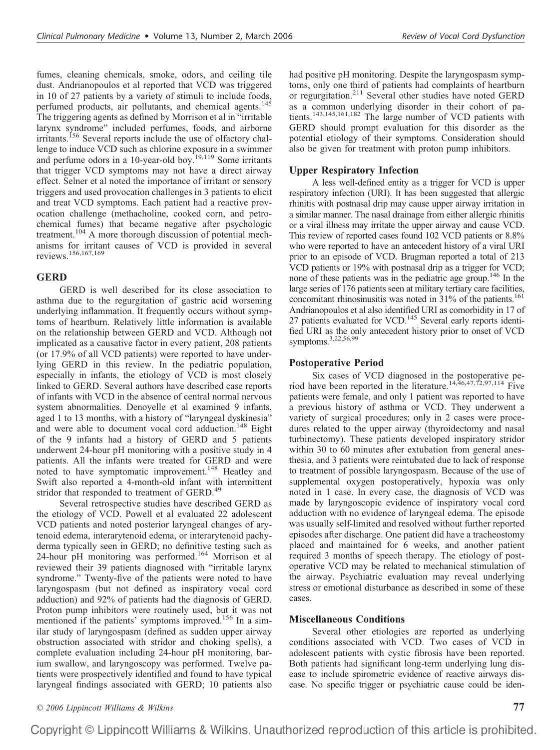fumes, cleaning chemicals, smoke, odors, and ceiling tile dust. Andrianopoulos et al reported that VCD was triggered in 10 of 27 patients by a variety of stimuli to include foods, perfumed products, air pollutants, and chemical agents.<sup>145</sup> The triggering agents as defined by Morrison et al in "irritable larynx syndrome" included perfumes, foods, and airborne irritants.<sup>156</sup> Several reports include the use of olfactory challenge to induce VCD such as chlorine exposure in a swimmer and perfume odors in a 10-year-old boy.<sup>19,119</sup> Some irritants that trigger VCD symptoms may not have a direct airway effect. Selner et al noted the importance of irritant or sensory triggers and used provocation challenges in 3 patients to elicit and treat VCD symptoms. Each patient had a reactive provocation challenge (methacholine, cooked corn, and petrochemical fumes) that became negative after psychologic treatment.104 A more thorough discussion of potential mechanisms for irritant causes of VCD is provided in several reviews.156,167,169

# **GERD**

GERD is well described for its close association to asthma due to the regurgitation of gastric acid worsening underlying inflammation. It frequently occurs without symptoms of heartburn. Relatively little information is available on the relationship between GERD and VCD. Although not implicated as a causative factor in every patient, 208 patients (or 17.9% of all VCD patients) were reported to have underlying GERD in this review. In the pediatric population, especially in infants, the etiology of VCD is most closely linked to GERD. Several authors have described case reports of infants with VCD in the absence of central normal nervous system abnormalities. Denoyelle et al examined 9 infants, aged 1 to 13 months, with a history of "laryngeal dyskinesia" and were able to document vocal cord adduction.<sup>148</sup> Eight of the 9 infants had a history of GERD and 5 patients underwent 24-hour pH monitoring with a positive study in 4 patients. All the infants were treated for GERD and were noted to have symptomatic improvement.<sup>148</sup> Heatley and Swift also reported a 4-month-old infant with intermittent stridor that responded to treatment of GERD.<sup>49</sup>

Several retrospective studies have described GERD as the etiology of VCD. Powell et al evaluated 22 adolescent VCD patients and noted posterior laryngeal changes of arytenoid edema, interarytenoid edema, or interarytenoid pachyderma typically seen in GERD; no definitive testing such as 24-hour pH monitoring was performed.<sup>164</sup> Morrison et al reviewed their 39 patients diagnosed with "irritable larynx syndrome." Twenty-five of the patients were noted to have laryngospasm (but not defined as inspiratory vocal cord adduction) and 92% of patients had the diagnosis of GERD. Proton pump inhibitors were routinely used, but it was not mentioned if the patients' symptoms improved.<sup>156</sup> In a similar study of laryngospasm (defined as sudden upper airway obstruction associated with stridor and choking spells), a complete evaluation including 24-hour pH monitoring, barium swallow, and laryngoscopy was performed. Twelve patients were prospectively identified and found to have typical laryngeal findings associated with GERD; 10 patients also

had positive pH monitoring. Despite the laryngospasm symptoms, only one third of patients had complaints of heartburn or regurgitation.<sup>211</sup> Several other studies have noted GERD as a common underlying disorder in their cohort of patients.143,145,161,182 The large number of VCD patients with GERD should prompt evaluation for this disorder as the potential etiology of their symptoms. Consideration should also be given for treatment with proton pump inhibitors.

### **Upper Respiratory Infection**

A less well-defined entity as a trigger for VCD is upper respiratory infection (URI). It has been suggested that allergic rhinitis with postnasal drip may cause upper airway irritation in a similar manner. The nasal drainage from either allergic rhinitis or a viral illness may irritate the upper airway and cause VCD. This review of reported cases found 102 VCD patients or 8.8% who were reported to have an antecedent history of a viral URI prior to an episode of VCD. Brugman reported a total of 213 VCD patients or 19% with postnasal drip as a trigger for VCD; none of these patients was in the pediatric age group.146 In the large series of 176 patients seen at military tertiary care facilities, concomitant rhinosinusitis was noted in 31% of the patients.<sup>161</sup> Andrianopoulos et al also identified URI as comorbidity in 17 of 27 patients evaluated for VCD.<sup>145</sup> Several early reports identified URI as the only antecedent history prior to onset of VCD symptoms.3,22,56,99

## **Postoperative Period**

Six cases of VCD diagnosed in the postoperative period have been reported in the literature.<sup>14,46,47,72,97,114</sup> Five patients were female, and only 1 patient was reported to have a previous history of asthma or VCD. They underwent a variety of surgical procedures; only in 2 cases were procedures related to the upper airway (thyroidectomy and nasal turbinectomy). These patients developed inspiratory stridor within 30 to 60 minutes after extubation from general anesthesia, and 3 patients were reintubated due to lack of response to treatment of possible laryngospasm. Because of the use of supplemental oxygen postoperatively, hypoxia was only noted in 1 case. In every case, the diagnosis of VCD was made by laryngoscopic evidence of inspiratory vocal cord adduction with no evidence of laryngeal edema. The episode was usually self-limited and resolved without further reported episodes after discharge. One patient did have a tracheostomy placed and maintained for 6 weeks, and another patient required 3 months of speech therapy. The etiology of postoperative VCD may be related to mechanical stimulation of the airway. Psychiatric evaluation may reveal underlying stress or emotional disturbance as described in some of these cases.

#### **Miscellaneous Conditions**

Several other etiologies are reported as underlying conditions associated with VCD. Two cases of VCD in adolescent patients with cystic fibrosis have been reported. Both patients had significant long-term underlying lung disease to include spirometric evidence of reactive airways disease. No specific trigger or psychiatric cause could be iden-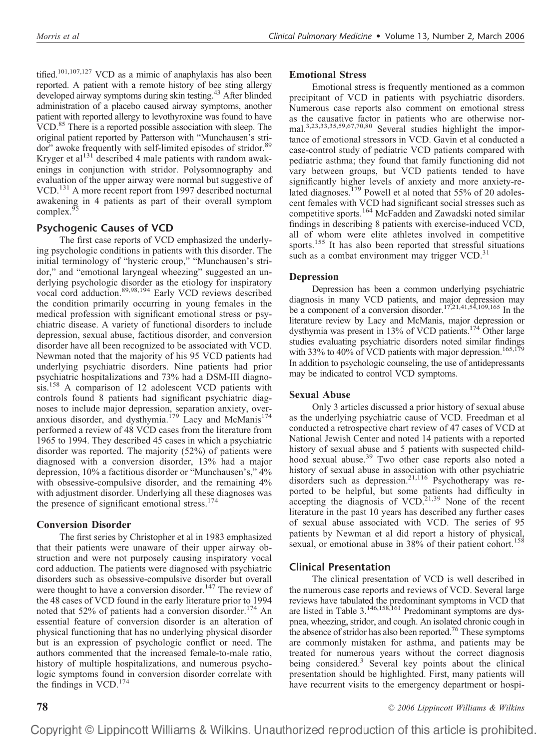tified.<sup>101,107,127</sup> VCD as a mimic of anaphylaxis has also been reported. A patient with a remote history of bee sting allergy developed airway symptoms during skin testing.<sup>43</sup> After blinded administration of a placebo caused airway symptoms, another patient with reported allergy to levothyroxine was found to have VCD.<sup>85</sup> There is a reported possible association with sleep. The original patient reported by Patterson with "Munchausen's stridor" awoke frequently with self-limited episodes of stridor.<sup>89</sup> Kryger et al $^{131}$  described 4 male patients with random awakenings in conjunction with stridor. Polysomnography and evaluation of the upper airway were normal but suggestive of VCD.<sup>131</sup> A more recent report from 1997 described nocturnal awakening in 4 patients as part of their overall symptom complex.<sup>9</sup>

# **Psychogenic Causes of VCD**

The first case reports of VCD emphasized the underlying psychologic conditions in patients with this disorder. The initial terminology of "hysteric croup," "Munchausen's stridor," and "emotional laryngeal wheezing" suggested an underlying psychologic disorder as the etiology for inspiratory vocal cord adduction.89,98,194 Early VCD reviews described the condition primarily occurring in young females in the medical profession with significant emotional stress or psychiatric disease. A variety of functional disorders to include depression, sexual abuse, factitious disorder, and conversion disorder have all been recognized to be associated with VCD. Newman noted that the majority of his 95 VCD patients had underlying psychiatric disorders. Nine patients had prior psychiatric hospitalizations and 73% had a DSM-III diagnosis.<sup>158</sup> A comparison of 12 adolescent VCD patients with controls found 8 patients had significant psychiatric diagnoses to include major depression, separation anxiety, overanxious disorder, and dysthymia.<sup>179</sup> Lacy and McManis<sup>174</sup> performed a review of 48 VCD cases from the literature from 1965 to 1994. They described 45 cases in which a psychiatric disorder was reported. The majority (52%) of patients were diagnosed with a conversion disorder, 13% had a major depression, 10% a factitious disorder or "Munchausen's," 4% with obsessive-compulsive disorder, and the remaining  $4\%$ with adjustment disorder. Underlying all these diagnoses was the presence of significant emotional stress. $174$ 

# **Conversion Disorder**

The first series by Christopher et al in 1983 emphasized that their patients were unaware of their upper airway obstruction and were not purposely causing inspiratory vocal cord adduction. The patients were diagnosed with psychiatric disorders such as obsessive-compulsive disorder but overall were thought to have a conversion disorder.<sup>147</sup> The review of the 48 cases of VCD found in the early literature prior to 1994 noted that  $52\%$  of patients had a conversion disorder.<sup>174</sup> An essential feature of conversion disorder is an alteration of physical functioning that has no underlying physical disorder but is an expression of psychologic conflict or need. The authors commented that the increased female-to-male ratio, history of multiple hospitalizations, and numerous psychologic symptoms found in conversion disorder correlate with the findings in VCD.<sup>174</sup>

## **Emotional Stress**

Emotional stress is frequently mentioned as a common precipitant of VCD in patients with psychiatric disorders. Numerous case reports also comment on emotional stress as the causative factor in patients who are otherwise normal.3,23,33,35,59,67,70,80 Several studies highlight the importance of emotional stressors in VCD. Gavin et al conducted a case-control study of pediatric VCD patients compared with pediatric asthma; they found that family functioning did not vary between groups, but VCD patients tended to have significantly higher levels of anxiety and more anxiety-related diagnoses.<sup>179</sup> Powell et al noted that 55% of 20 adolescent females with VCD had significant social stresses such as competitive sports.<sup>164</sup> McFadden and Zawadski noted similar findings in describing 8 patients with exercise-induced VCD, all of whom were elite athletes involved in competitive sports.<sup>155</sup> It has also been reported that stressful situations such as a combat environment may trigger  $VCD$ <sup>31</sup>

# **Depression**

Depression has been a common underlying psychiatric diagnosis in many VCD patients, and major depression may be a component of a conversion disorder.17,21,41,54,109,165 In the literature review by Lacy and McManis, major depression or dysthymia was present in 13% of VCD patients.<sup>174</sup> Other large studies evaluating psychiatric disorders noted similar findings with 33% to 40% of VCD patients with major depression.<sup>165,17</sup> In addition to psychologic counseling, the use of antidepressants may be indicated to control VCD symptoms.

# **Sexual Abuse**

Only 3 articles discussed a prior history of sexual abuse as the underlying psychiatric cause of VCD. Freedman et al conducted a retrospective chart review of 47 cases of VCD at National Jewish Center and noted 14 patients with a reported history of sexual abuse and 5 patients with suspected childhood sexual abuse.<sup>39</sup> Two other case reports also noted a history of sexual abuse in association with other psychiatric disorders such as depression.<sup>21,116</sup> Psychotherapy was reported to be helpful, but some patients had difficulty in  $\alpha$  accepting the diagnosis of VCD.<sup>21,39</sup> None of the recent literature in the past 10 years has described any further cases of sexual abuse associated with VCD. The series of 95 patients by Newman et al did report a history of physical, sexual, or emotional abuse in 38% of their patient cohort.<sup>158</sup>

# **Clinical Presentation**

The clinical presentation of VCD is well described in the numerous case reports and reviews of VCD. Several large reviews have tabulated the predominant symptoms in VCD that are listed in Table 3.146,158,161 Predominant symptoms are dyspnea, wheezing, stridor, and cough. An isolated chronic cough in the absence of stridor has also been reported.<sup>76</sup> These symptoms are commonly mistaken for asthma, and patients may be treated for numerous years without the correct diagnosis being considered.<sup>3</sup> Several key points about the clinical presentation should be highlighted. First, many patients will have recurrent visits to the emergency department or hospi-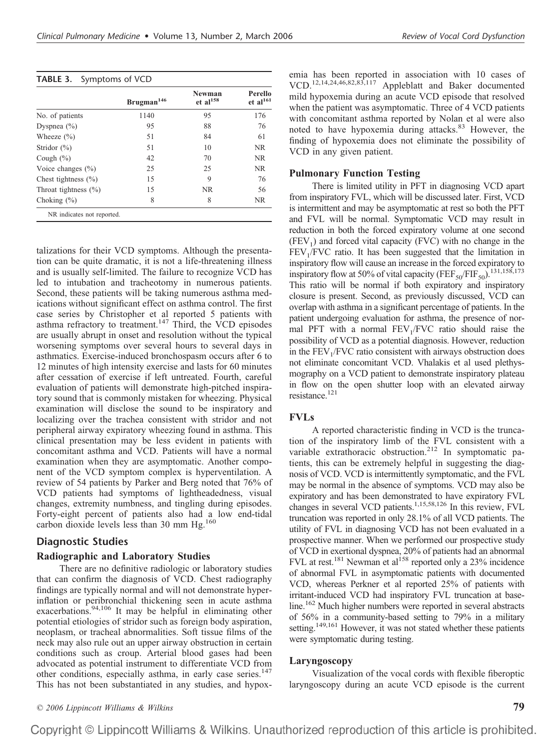#### **TABLE 3.** Symptoms of VCD

|                            | Brugman <sup>146</sup> | Newman<br>$et$ al <sup>158</sup> | Perello<br>et al <sup>161</sup> |
|----------------------------|------------------------|----------------------------------|---------------------------------|
| No. of patients            | 1140                   | 95                               | 176                             |
| Dyspnea $(\% )$            | 95                     | 88                               | 76                              |
| Wheeze $(\% )$             | 51                     | 84                               | 61                              |
| Stridor $(\%)$             | 51                     | 10                               | <b>NR</b>                       |
| Cough $(\%)$               | 42                     | 70                               | NR.                             |
| Voice changes $(\% )$      | 25                     | 25                               | NR.                             |
| Chest tightness $(\% )$    | 15                     | 9                                | 76                              |
| Throat tightness $(\% )$   | 15                     | NR.                              | 56                              |
| Choking $(\% )$            | 8                      | 8                                | <b>NR</b>                       |
| NR indicates not reported. |                        |                                  |                                 |

talizations for their VCD symptoms. Although the presentation can be quite dramatic, it is not a life-threatening illness and is usually self-limited. The failure to recognize VCD has led to intubation and tracheotomy in numerous patients. Second, these patients will be taking numerous asthma medications without significant effect on asthma control. The first case series by Christopher et al reported 5 patients with asthma refractory to treatment.<sup>147</sup> Third, the VCD episodes are usually abrupt in onset and resolution without the typical worsening symptoms over several hours to several days in asthmatics. Exercise-induced bronchospasm occurs after 6 to 12 minutes of high intensity exercise and lasts for 60 minutes after cessation of exercise if left untreated. Fourth, careful evaluation of patients will demonstrate high-pitched inspiratory sound that is commonly mistaken for wheezing. Physical examination will disclose the sound to be inspiratory and localizing over the trachea consistent with stridor and not peripheral airway expiratory wheezing found in asthma. This clinical presentation may be less evident in patients with concomitant asthma and VCD. Patients will have a normal examination when they are asymptomatic. Another component of the VCD symptom complex is hyperventilation. A review of 54 patients by Parker and Berg noted that 76% of VCD patients had symptoms of lightheadedness, visual changes, extremity numbness, and tingling during episodes. Forty-eight percent of patients also had a low end-tidal carbon dioxide levels less than 30 mm Hg.<sup>160</sup>

#### **Diagnostic Studies**

#### **Radiographic and Laboratory Studies**

There are no definitive radiologic or laboratory studies that can confirm the diagnosis of VCD. Chest radiography findings are typically normal and will not demonstrate hyperinflation or peribronchial thickening seen in acute asthma exacerbations.<sup>94,106</sup> It may be helpful in eliminating other potential etiologies of stridor such as foreign body aspiration, neoplasm, or tracheal abnormalities. Soft tissue films of the neck may also rule out an upper airway obstruction in certain conditions such as croup. Arterial blood gases had been advocated as potential instrument to differentiate VCD from other conditions, especially asthma, in early case series.<sup>147</sup> This has not been substantiated in any studies, and hypox-

emia has been reported in association with 10 cases of VCD.12,14,24,46,82,83,117 Appleblatt and Baker documented mild hypoxemia during an acute VCD episode that resolved when the patient was asymptomatic. Three of 4 VCD patients with concomitant asthma reported by Nolan et al were also noted to have hypoxemia during attacks.<sup>83</sup> However, the finding of hypoxemia does not eliminate the possibility of VCD in any given patient.

#### **Pulmonary Function Testing**

There is limited utility in PFT in diagnosing VCD apart from inspiratory FVL, which will be discussed later. First, VCD is intermittent and may be asymptomatic at rest so both the PFT and FVL will be normal. Symptomatic VCD may result in reduction in both the forced expiratory volume at one second  $(FEV<sub>1</sub>)$  and forced vital capacity (FVC) with no change in the  $FEV<sub>1</sub>/FVC$  ratio. It has been suggested that the limitation in inspiratory flow will cause an increase in the forced expiratory to inspiratory flow at 50% of vital capacity (FEF<sub>50</sub>/FIF<sub>50</sub>).<sup>131,158</sup>,173 This ratio will be normal if both expiratory and inspiratory closure is present. Second, as previously discussed, VCD can overlap with asthma in a significant percentage of patients. In the patient undergoing evaluation for asthma, the presence of normal PFT with a normal  $FEV<sub>1</sub>/FVC$  ratio should raise the possibility of VCD as a potential diagnosis. However, reduction in the  $FEV<sub>1</sub>/FVC$  ratio consistent with airways obstruction does not eliminate concomitant VCD. Vhalakis et al used plethysmography on a VCD patient to demonstrate inspiratory plateau in flow on the open shutter loop with an elevated airway resistance. $121$ 

#### **FVLs**

A reported characteristic finding in VCD is the truncation of the inspiratory limb of the FVL consistent with a variable extrathoracic obstruction.<sup>212</sup> In symptomatic patients, this can be extremely helpful in suggesting the diagnosis of VCD. VCD is intermittently symptomatic, and the FVL may be normal in the absence of symptoms. VCD may also be expiratory and has been demonstrated to have expiratory FVL changes in several VCD patients.<sup>1,15,58,126</sup> In this review, FVL truncation was reported in only 28.1% of all VCD patients. The utility of FVL in diagnosing VCD has not been evaluated in a prospective manner. When we performed our prospective study of VCD in exertional dyspnea, 20% of patients had an abnormal FVL at rest.<sup>181</sup> Newman et al<sup>158</sup> reported only a 23% incidence of abnormal FVL in asymptomatic patients with documented VCD, whereas Perkner et al reported 25% of patients with irritant-induced VCD had inspiratory FVL truncation at baseline.<sup>162</sup> Much higher numbers were reported in several abstracts of 56% in a community-based setting to 79% in a military setting.<sup>149,161</sup> However, it was not stated whether these patients were symptomatic during testing.

#### **Laryngoscopy**

Visualization of the vocal cords with flexible fiberoptic laryngoscopy during an acute VCD episode is the current

*© 2006 Lippincott Williams & Wilkins* **79**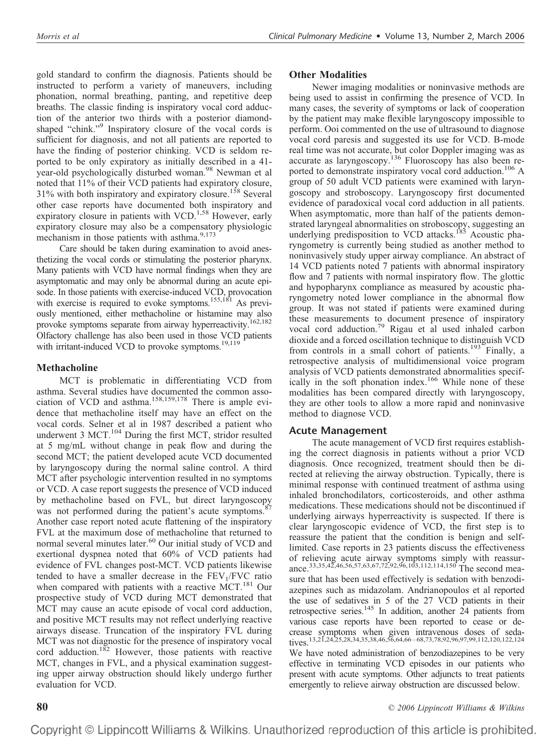gold standard to confirm the diagnosis. Patients should be instructed to perform a variety of maneuvers, including phonation, normal breathing, panting, and repetitive deep breaths. The classic finding is inspiratory vocal cord adduction of the anterior two thirds with a posterior diamondshaped "chink."<sup>9</sup> Inspiratory closure of the vocal cords is sufficient for diagnosis, and not all patients are reported to have the finding of posterior chinking. VCD is seldom reported to be only expiratory as initially described in a 41 year-old psychologically disturbed woman.<sup>98</sup> Newman et al noted that 11% of their VCD patients had expiratory closure,  $31\%$  with both inspiratory and expiratory closure.<sup>158</sup> Several other case reports have documented both inspiratory and expiratory closure in patients with VCD.<sup>1,58</sup> However, early expiratory closure may also be a compensatory physiologic mechanism in those patients with asthma.<sup>9,173</sup>

Care should be taken during examination to avoid anesthetizing the vocal cords or stimulating the posterior pharynx. Many patients with VCD have normal findings when they are asymptomatic and may only be abnormal during an acute episode. In those patients with exercise-induced VCD, provocation with exercise is required to evoke symptoms.<sup>155,181</sup> As previously mentioned, either methacholine or histamine may also provoke symptoms separate from airway hyperreactivity.<sup>162,182</sup> Olfactory challenge has also been used in those VCD patients with irritant-induced VCD to provoke symptoms.<sup>19,119</sup>

# **Methacholine**

MCT is problematic in differentiating VCD from asthma. Several studies have documented the common association of VCD and asthma.<sup>158,159,178</sup> There is ample evidence that methacholine itself may have an effect on the vocal cords. Selner et al in 1987 described a patient who underwent 3 MCT.<sup>104</sup> During the first MCT, stridor resulted at 5 mg/mL without change in peak flow and during the second MCT; the patient developed acute VCD documented by laryngoscopy during the normal saline control. A third MCT after psychologic intervention resulted in no symptoms or VCD. A case report suggests the presence of VCD induced by methacholine based on FVL, but direct laryngoscopy was not performed during the patient's acute symptoms.<sup>87</sup> Another case report noted acute flattening of the inspiratory FVL at the maximum dose of methacholine that returned to normal several minutes later.<sup>60</sup> Our initial study of VCD and exertional dyspnea noted that 60% of VCD patients had evidence of FVL changes post-MCT. VCD patients likewise tended to have a smaller decrease in the  $FEV<sub>1</sub>/FVC$  ratio when compared with patients with a reactive MCT. $^{181}$  Our prospective study of VCD during MCT demonstrated that MCT may cause an acute episode of vocal cord adduction, and positive MCT results may not reflect underlying reactive airways disease. Truncation of the inspiratory FVL during MCT was not diagnostic for the presence of inspiratory vocal cord adduction.182 However, those patients with reactive MCT, changes in FVL, and a physical examination suggesting upper airway obstruction should likely undergo further evaluation for VCD.

# **Other Modalities**

Newer imaging modalities or noninvasive methods are being used to assist in confirming the presence of VCD. In many cases, the severity of symptoms or lack of cooperation by the patient may make flexible laryngoscopy impossible to perform. Ooi commented on the use of ultrasound to diagnose vocal cord paresis and suggested its use for VCD. B-mode real time was not accurate, but color Doppler imaging was as accurate as laryngoscopy.<sup>136</sup> Fluoroscopy has also been reported to demonstrate inspiratory vocal cord adduction.<sup>106</sup> A group of 50 adult VCD patients were examined with laryngoscopy and stroboscopy. Laryngoscopy first documented evidence of paradoxical vocal cord adduction in all patients. When asymptomatic, more than half of the patients demonstrated laryngeal abnormalities on stroboscopy, suggesting an underlying predisposition to VCD attacks.<sup>185</sup> Acoustic pharyngometry is currently being studied as another method to noninvasively study upper airway compliance. An abstract of 14 VCD patients noted 7 patients with abnormal inspiratory flow and 7 patients with normal inspiratory flow. The glottic and hypopharynx compliance as measured by acoustic pharyngometry noted lower compliance in the abnormal flow group. It was not stated if patients were examined during these measurements to document presence of inspiratory vocal cord adduction.79 Rigau et al used inhaled carbon dioxide and a forced oscillation technique to distinguish VCD from controls in a small cohort of patients.<sup>193</sup> Finally, a retrospective analysis of multidimensional voice program analysis of VCD patients demonstrated abnormalities specifically in the soft phonation index.<sup>166</sup> While none of these modalities has been compared directly with laryngoscopy, they are other tools to allow a more rapid and noninvasive method to diagnose VCD.

# **Acute Management**

The acute management of VCD first requires establishing the correct diagnosis in patients without a prior VCD diagnosis. Once recognized, treatment should then be directed at relieving the airway obstruction. Typically, there is minimal response with continued treatment of asthma using inhaled bronchodilators, corticosteroids, and other asthma medications. These medications should not be discontinued if underlying airways hyperreactivity is suspected. If there is clear laryngoscopic evidence of VCD, the first step is to reassure the patient that the condition is benign and selflimited. Case reports in 23 patients discuss the effectiveness of relieving acute airway symptoms simply with reassurance.33,35,42,46,56,57,63,67,72,92,96,103,112,114,150 The second measure that has been used effectively is sedation with benzodiazepines such as midazolam. Andrianopoulos et al reported the use of sedatives in 5 of the 27 VCD patients in their retrospective series.<sup>145</sup> In addition, another  $24$  patients from various case reports have been reported to cease or decrease symptoms when given intravenous doses of sedatives.13,21,24,25,28,34,35,38,46,56,64,66 – 68,73,78,92,96,97,99,112,120,122,124 We have noted administration of benzodiazepines to be very effective in terminating VCD episodes in our patients who present with acute symptoms. Other adjuncts to treat patients emergently to relieve airway obstruction are discussed below.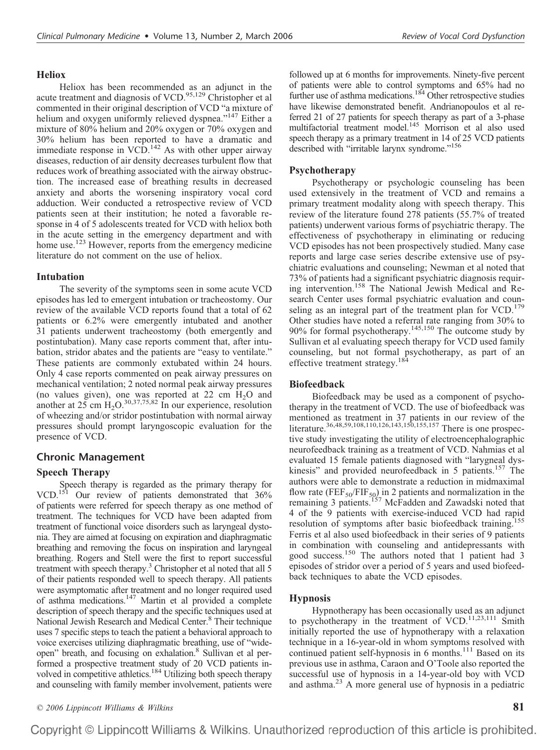## **Heliox**

Heliox has been recommended as an adjunct in the acute treatment and diagnosis of VCD.<sup>95,129</sup> Christopher et al commented in their original description of VCD "a mixture of helium and oxygen uniformly relieved dyspnea."<sup>147</sup> Either a mixture of 80% helium and 20% oxygen or 70% oxygen and 30% helium has been reported to have a dramatic and immediate response in  $VCD$ .<sup>142</sup> As with other upper airway diseases, reduction of air density decreases turbulent flow that reduces work of breathing associated with the airway obstruction. The increased ease of breathing results in decreased anxiety and aborts the worsening inspiratory vocal cord adduction. Weir conducted a retrospective review of VCD patients seen at their institution; he noted a favorable response in 4 of 5 adolescents treated for VCD with heliox both in the acute setting in the emergency department and with home use.<sup>123</sup> However, reports from the emergency medicine literature do not comment on the use of heliox.

# **Intubation**

The severity of the symptoms seen in some acute VCD episodes has led to emergent intubation or tracheostomy. Our review of the available VCD reports found that a total of 62 patients or 6.2% were emergently intubated and another 31 patients underwent tracheostomy (both emergently and postintubation). Many case reports comment that, after intubation, stridor abates and the patients are "easy to ventilate." These patients are commonly extubated within 24 hours. Only 4 case reports commented on peak airway pressures on mechanical ventilation; 2 noted normal peak airway pressures (no values given), one was reported at 22 cm  $H_2O$  and another at 25 cm  $H_2O^{30,37,75,82}$  In our experience, resolution of wheezing and/or stridor postintubation with normal airway pressures should prompt laryngoscopic evaluation for the presence of VCD.

# **Chronic Management**

# **Speech Therapy**

Speech therapy is regarded as the primary therapy for VCD.151 Our review of patients demonstrated that 36% of patients were referred for speech therapy as one method of treatment. The techniques for VCD have been adapted from treatment of functional voice disorders such as laryngeal dystonia. They are aimed at focusing on expiration and diaphragmatic breathing and removing the focus on inspiration and laryngeal breathing. Rogers and Stell were the first to report successful treatment with speech therapy.<sup>3</sup> Christopher et al noted that all 5 of their patients responded well to speech therapy. All patients were asymptomatic after treatment and no longer required used of asthma medications.<sup>147</sup> Martin et al provided a complete description of speech therapy and the specific techniques used at National Jewish Research and Medical Center.<sup>8</sup> Their technique uses 7 specific steps to teach the patient a behavioral approach to voice exercises utilizing diaphragmatic breathing, use of "wideopen" breath, and focusing on exhalation.<sup>8</sup> Sullivan et al performed a prospective treatment study of 20 VCD patients involved in competitive athletics.<sup>184</sup> Utilizing both speech therapy and counseling with family member involvement, patients were

followed up at 6 months for improvements. Ninety-five percent of patients were able to control symptoms and 65% had no further use of asthma medications.<sup>184</sup> Other retrospective studies have likewise demonstrated benefit. Andrianopoulos et al referred 21 of 27 patients for speech therapy as part of a 3-phase multifactorial treatment model.145 Morrison et al also used speech therapy as a primary treatment in 14 of 25 VCD patients described with "irritable larynx syndrome."156

# **Psychotherapy**

Psychotherapy or psychologic counseling has been used extensively in the treatment of VCD and remains a primary treatment modality along with speech therapy. This review of the literature found 278 patients (55.7% of treated patients) underwent various forms of psychiatric therapy. The effectiveness of psychotherapy in eliminating or reducing VCD episodes has not been prospectively studied. Many case reports and large case series describe extensive use of psychiatric evaluations and counseling; Newman et al noted that 73% of patients had a significant psychiatric diagnosis requiring intervention.158 The National Jewish Medical and Research Center uses formal psychiatric evaluation and counseling as an integral part of the treatment plan for VCD.<sup>179</sup> Other studies have noted a referral rate ranging from 30% to 90% for formal psychotherapy. $145,150$  The outcome study by Sullivan et al evaluating speech therapy for VCD used family counseling, but not formal psychotherapy, as part of an effective treatment strategy.<sup>184</sup>

# **Biofeedback**

Biofeedback may be used as a component of psychotherapy in the treatment of VCD. The use of biofeedback was mentioned as treatment in 37 patients in our review of the literature.<sup>36,48,59,108,110,126,143,150,155,157</sup> There is one prospective study investigating the utility of electroencephalographic neurofeedback training as a treatment of VCD. Nahmias et al evaluated 15 female patients diagnosed with "larygneal dyskinesis" and provided neurofeedback in 5 patients.<sup>157</sup> The authors were able to demonstrate a reduction in midmaximal flow rate  $(FEF_{50}/FIF_{50})$  in 2 patients and normalization in the remaining 3 patients.<sup>157</sup> McFadden and Zawadski noted that 4 of the 9 patients with exercise-induced VCD had rapid resolution of symptoms after basic biofeedback training.<sup>155</sup> Ferris et al also used biofeedback in their series of 9 patients in combination with counseling and antidepressants with good success.<sup>150</sup> The authors noted that 1 patient had 3 episodes of stridor over a period of 5 years and used biofeedback techniques to abate the VCD episodes.

# **Hypnosis**

Hypnotherapy has been occasionally used as an adjunct to psychotherapy in the treatment of  $VCD$ .<sup>11,23,111</sup> Smith initially reported the use of hypnotherapy with a relaxation technique in a 16-year-old in whom symptoms resolved with continued patient self-hypnosis in 6 months.<sup>111</sup> Based on its previous use in asthma, Caraon and O'Toole also reported the successful use of hypnosis in a 14-year-old boy with VCD and asthma.23 A more general use of hypnosis in a pediatric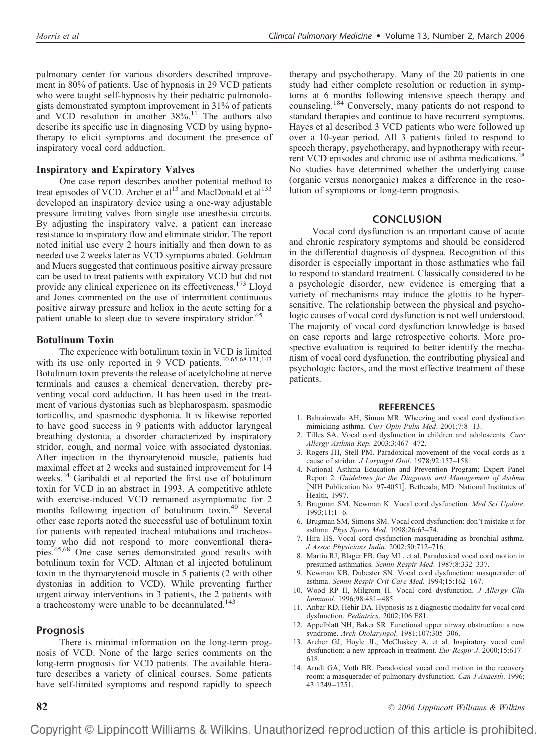pulmonary center for various disorders described improvement in 80% of patients. Use of hypnosis in 29 VCD patients who were taught self-hypnosis by their pediatric pulmonologists demonstrated symptom improvement in 31% of patients and VCD resolution in another  $38\%$ .<sup>11</sup> The authors also describe its specific use in diagnosing VCD by using hypnotherapy to elicit symptoms and document the presence of inspiratory vocal cord adduction.

#### **Inspiratory and Expiratory Valves**

One case report describes another potential method to treat episodes of VCD. Archer et al<sup>13</sup> and MacDonald et al<sup>133</sup> developed an inspiratory device using a one-way adjustable pressure limiting valves from single use anesthesia circuits. By adjusting the inspiratory valve, a patient can increase resistance to inspiratory flow and eliminate stridor. The report noted initial use every 2 hours initially and then down to as needed use 2 weeks later as VCD symptoms abated. Goldman and Muers suggested that continuous positive airway pressure can be used to treat patients with expiratory VCD but did not provide any clinical experience on its effectiveness.173 Lloyd and Jones commented on the use of intermittent continuous positive airway pressure and heliox in the acute setting for a patient unable to sleep due to severe inspiratory stridor.<sup>65</sup>

#### **Botulinum Toxin**

The experience with botulinum toxin in VCD is limited with its use only reported in 9 VCD patients.<sup>40,65,68,121,143</sup> Botulinum toxin prevents the release of acetylcholine at nerve terminals and causes a chemical denervation, thereby preventing vocal cord adduction. It has been used in the treatment of various dystonias such as blepharospasm, spasmodic torticollis, and spasmodic dysphonia. It is likewise reported to have good success in 9 patients with adductor laryngeal breathing dystonia, a disorder characterized by inspiratory stridor, cough, and normal voice with associated dystonias. After injection in the thyroarytenoid muscle, patients had maximal effect at 2 weeks and sustained improvement for 14 weeks.<sup>44</sup> Garibaldi et al reported the first use of botulinum toxin for VCD in an abstract in 1993. A competitive athlete with exercise-induced VCD remained asymptomatic for 2 months following injection of botulinum toxin.40 Several other case reports noted the successful use of botulinum toxin for patients with repeated tracheal intubations and tracheostomy who did not respond to more conventional therapies.65,68 One case series demonstrated good results with botulinum toxin for VCD. Altman et al injected botulinum toxin in the thyroarytenoid muscle in 5 patients (2 with other dystonias in addition to VCD). While preventing further urgent airway interventions in 3 patients, the 2 patients with a tracheostomy were unable to be decannulated.<sup>143</sup>

#### **Prognosis**

There is minimal information on the long-term prognosis of VCD. None of the large series comments on the long-term prognosis for VCD patients. The available literature describes a variety of clinical courses. Some patients have self-limited symptoms and respond rapidly to speech therapy and psychotherapy. Many of the 20 patients in one study had either complete resolution or reduction in symptoms at 6 months following intensive speech therapy and counseling.184 Conversely, many patients do not respond to standard therapies and continue to have recurrent symptoms. Hayes et al described 3 VCD patients who were followed up over a 10-year period. All 3 patients failed to respond to speech therapy, psychotherapy, and hypnotherapy with recurrent VCD episodes and chronic use of asthma medications.<sup>48</sup> No studies have determined whether the underlying cause (organic versus nonorganic) makes a difference in the resolution of symptoms or long-term prognosis.

#### **CONCLUSION**

Vocal cord dysfunction is an important cause of acute and chronic respiratory symptoms and should be considered in the differential diagnosis of dyspnea. Recognition of this disorder is especially important in those asthmatics who fail to respond to standard treatment. Classically considered to be a psychologic disorder, new evidence is emerging that a variety of mechanisms may induce the glottis to be hypersensitive. The relationship between the physical and psychologic causes of vocal cord dysfunction is not well understood. The majority of vocal cord dysfunction knowledge is based on case reports and large retrospective cohorts. More prospective evaluation is required to better identify the mechanism of vocal cord dysfunction, the contributing physical and psychologic factors, and the most effective treatment of these patients.

#### **REFERENCES**

- 1. Bahrainwala AH, Simon MR. Wheezing and vocal cord dysfunction mimicking asthma. *Curr Opin Pulm Med*. 2001;7:8 –13.
- 2. Tilles SA. Vocal cord dysfunction in children and adolescents. *Curr Allergy Asthma Rep*. 2003;3:467– 472.
- 3. Rogers JH, Stell PM. Paradoxical movement of the vocal cords as a cause of stridor. *J Laryngol Otol*. 1978;92:157–158.
- 4. National Asthma Education and Prevention Program: Expert Panel Report 2. *Guidelines for the Diagnosis and Management of Asthma* [NIH Publication No. 97-4051]. Bethesda, MD: National Institutes of Health, 1997.
- 5. Brugman SM, Newman K. Vocal cord dysfunction. *Med Sci Update*.  $1993;11:1-6.$
- 6. Brugman SM, Simons SM. Vocal cord dysfunction: don't mistake it for asthma. *Phys Sports Med*. 1998;26:63–74.
- 7. Hira HS. Vocal cord dysfunction masquerading as bronchial asthma. *J Assoc Physicians India*. 2002;50:712–716.
- 8. Martin RJ, Blager FB, Gay ML, et al. Paradoxical vocal cord motion in presumed asthmatics. *Semin Respir Med*. 1987;8:332–337.
- 9. Newman KB, Dubester SN. Vocal cord dysfunction: masquerader of asthma. *Semin Respir Crit Care Med*. 1994;15:162–167.
- 10. Wood RP II, Milgrom H. Vocal cord dysfunction. *J Allergy Clin Immunol*. 1996;98:481– 485.
- 11. Anbar RD, Hehir DA. Hypnosis as a diagnostic modality for vocal cord dysfunction. *Pediatrics*. 2002;106:E81.
- 12. Appelblatt NH, Baker SR. Functional upper airway obstruction: a new syndrome. *Arch Otolaryngol*. 1981;107:305–306.
- 13. Archer GJ, Hoyle JL, McCluskey A, et al. Inspiratory vocal cord dysfunction: a new approach in treatment. *Eur Respir J*. 2000;15:617– 618.
- 14. Arndt GA, Voth BR. Paradoxical vocal cord motion in the recovery room: a masquerader of pulmonary dysfunction. *Can J Anaesth*. 1996; 43:1249 –1251.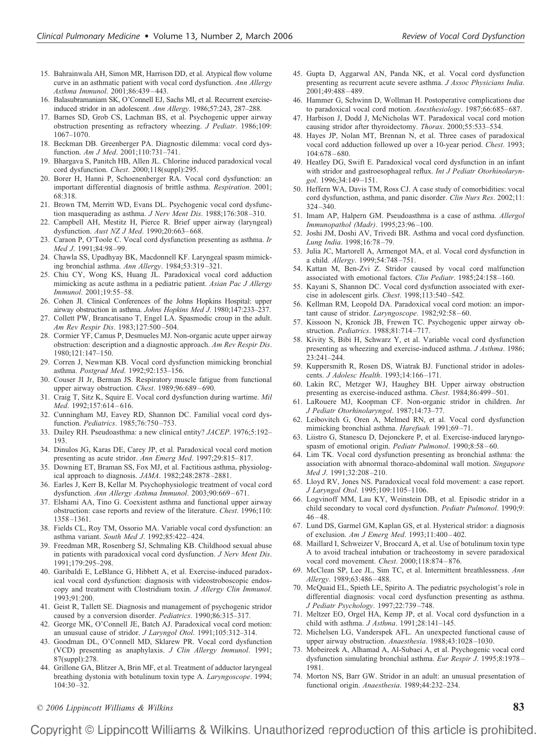- 15. Bahrainwala AH, Simon MR, Harrison DD, et al. Atypical flow volume curve in an asthmatic patient with vocal cord dysfunction. *Ann Allergy Asthma Immunol*. 2001;86:439 – 443.
- 16. Balasubramaniam SK, O'Connell EJ, Sachs MI, et al. Recurrent exerciseinduced stridor in an adolescent. *Ann Allergy*. 1986;57:243, 287–288.
- 17. Barnes SD, Grob CS, Lachman BS, et al. Psychogenic upper airway obstruction presenting as refractory wheezing. *J Pediatr*. 1986;109: 1067–1070.
- 18. Beckman DB. Greenberger PA. Diagnostic dilemma: vocal cord dysfunction. *Am J Med*. 2001;110:731–741.
- 19. Bhargava S, Panitch HB, Allen JL. Chlorine induced paradoxical vocal cord dysfunction. *Chest*. 2000;118(suppl):295.
- 20. Borer H, Hanni P, Schoenenberger RA. Vocal cord dysfunction: an important differential diagnosis of brittle asthma. *Respiration*. 2001; 68:318.
- 21. Brown TM, Merritt WD, Evans DL. Psychogenic vocal cord dysfunction masquerading as asthma. *J Nerv Ment Dis*. 1988;176:308 –310.
- 22. Campbell AH, Mestitz H, Pierce R. Brief upper airway (laryngeal) dysfunction. *Aust NZ J Med*. 1990;20:663– 668.
- 23. Caraon P, O'Toole C. Vocal cord dysfunction presenting as asthma. *Ir Med J*. 1991;84:98 –99.
- 24. Chawla SS, Upadhyay BK, Macdonnell KF. Laryngeal spasm mimicking bronchial asthma. *Ann Allergy*. 1984;53:319 –321.
- 25. Chiu CY, Wong KS, Huang JL. Paradoxical vocal cord adduction mimicking as acute asthma in a pediatric patient. *Asian Pac J Allergy Immunol*. 2001;19:55–58.
- 26. Cohen JI. Clinical Conferences of the Johns Hopkins Hospital: upper airway obstruction in asthma. *Johns Hopkins Med J*. 1980;147:233–237.
- 27. Collett PW, Brancatisano T, Engel LA. Spasmodic croup in the adult. *Am Rev Respir Dis*. 1983;127:500 –504.
- 28. Cormier YF, Camus P, Desmueles MJ. Non-organic acute upper airway obstruction: description and a diagnostic approach. *Am Rev Respir Dis*. 1980;121:147–150.
- 29. Corren J, Newman KB. Vocal cord dysfunction mimicking bronchial asthma. *Postgrad Med*. 1992;92:153–156.
- 30. Couser JI Jr, Berman JS. Respiratory muscle fatigue from functional upper airway obstruction. *Chest*. 1989;96:689 – 690.
- 31. Craig T, Sitz K, Squire E. Vocal cord dysfunction during wartime. *Mil Med*. 1992;157:614 – 616.
- 32. Cunningham MJ, Eavey RD, Shannon DC. Familial vocal cord dysfunction. *Pediatrics*. 1985;76:750 –753.
- 33. Dailey RH. Pseudoasthma: a new clinical entity? *JACEP*. 1976;5:192– 193.
- 34. Dinulos JG, Karas DE, Carey JP, et al. Paradoxical vocal cord motion presenting as acute stridor. *Ann Emerg Med*. 1997;29:815– 817.
- 35. Downing ET, Braman SS, Fox MJ, et al. Factitious asthma, physiological approach to diagnosis. *JAMA*. 1982;248:2878 –2881.
- 36. Earles J, Kerr B, Kellar M. Psychophysiologic treatment of vocal cord dysfunction. Ann Allergy Asthma Immunol. 2003;90:669-671.
- 37. Elshami AA, Tino G. Coexistent asthma and functional upper airway obstruction: case reports and review of the literature. *Chest*. 1996;110: 1358 –1361.
- 38. Fields CL, Roy TM, Ossorio MA. Variable vocal cord dysfunction: an asthma variant. *South Med J*. 1992;85:422– 424.
- 39. Freedman MR, Rosenberg SJ, Schmaling KB. Childhood sexual abuse in patients with paradoxical vocal cord dysfunction. *J Nerv Ment Dis*. 1991;179:295–298.
- 40. Garibaldi E, LeBlance G, Hibbett A, et al. Exercise-induced paradoxical vocal cord dysfunction: diagnosis with videostroboscopic endoscopy and treatment with Clostridium toxin. *J Allergy Clin Immunol*. 1993;91:200.
- 41. Geist R, Tallett SE. Diagnosis and management of psychogenic stridor caused by a conversion disorder. *Pediatrics*. 1990;86:315–317.
- 42. George MK, O'Connell JE, Batch AJ. Paradoxical vocal cord motion: an unusual cause of stridor. *J Laryngol Otol*. 1991;105:312–314.
- 43. Goodman DL, O'Connell MD, Sklarew PR. Vocal cord dysfunction (VCD) presenting as anaphylaxis. *J Clin Allergy Immunol*. 1991; 87(suppl):278.
- 44. Grillone GA, Blitzer A, Brin MF, et al. Treatment of adductor laryngeal breathing dystonia with botulinum toxin type A. *Laryngoscope*. 1994; 104:30 –32.
- 45. Gupta D, Aggarwal AN, Panda NK, et al. Vocal cord dysfunction presenting as recurrent acute severe asthma. *J Assoc Physicians India*. 2001;49:488 – 489.
- 46. Hammer G, Schwinn D, Wollman H. Postoperative complications due to paradoxical vocal cord motion. *Anesthesiology*. 1987;66:685-687.
- 47. Harbison J, Dodd J, McNicholas WT. Paradoxical vocal cord motion causing stridor after thyroidectomy. *Thorax*. 2000;55:533–534.
- 48. Hayes JP, Nolan MT, Brennan N, et al. Three cases of paradoxical vocal cord adduction followed up over a 10-year period. *Chest*. 1993; 104:678 – 680.
- 49. Heatley DG, Swift E. Paradoxical vocal cord dysfunction in an infant with stridor and gastroesophageal reflux. *Int J Pediatr Otorhinolaryngol*. 1996;34:149 –151.
- 50. Heffern WA, Davis TM, Ross CJ. A case study of comorbidities: vocal cord dysfunction, asthma, and panic disorder. *Clin Nurs Res*. 2002;11: 324 –340.
- 51. Imam AP, Halpern GM. Pseudoasthma is a case of asthma. *Allergol Immunopathol (Madr)*. 1995;23:96 –100.
- 52. Joshi JM, Doshi AV, Trivedi BR. Asthma and vocal cord dysfunction. *Lung India*. 1998;16:78 –79.
- 53. Julia JC, Martorell A, Armengot MA, et al. Vocal cord dysfunction in a child. *Allergy*. 1999;54:748 –751.
- 54. Kattan M, Ben-Zvi Z. Stridor caused by vocal cord malfunction associated with emotional factors. *Clin Pediatr*. 1985;24:158 –160.
- 55. Kayani S, Shannon DC. Vocal cord dysfunction associated with exercise in adolescent girls. *Chest*. 1998;113:540 –542.
- 56. Kellman RM, Leopold DA. Paradoxical vocal cord motion: an important cause of stridor. *Laryngoscope*. 1982;92:58-60.
- 57. Kissoon N, Kronick JB, Frewen TC. Psychogenic upper airway obstruction. *Pediatrics*. 1988;81:714 –717.
- 58. Kivity S, Bibi H, Schwarz Y, et al. Variable vocal cord dysfunction presenting as wheezing and exercise-induced asthma. *J Asthma*. 1986; 23:241–244.
- 59. Kuppersmith R, Rosen DS, Wiatrak BJ. Functional stridor in adolescents. *J Adolesc Health*. 1993;14:166 –171.
- 60. Lakin RC, Metzger WJ, Haughey BH. Upper airway obstruction presenting as exercise-induced asthma. *Chest*. 1984;86:499 –501.
- 61. LaRouere MJ, Koopman CF. Non-organic stridor in children. *Int J Pediatr Otorhinolaryngol*. 1987;14:73–77.
- 62. Leibovitch G, Oren A, Melmed RN, et al. Vocal cord dysfunction mimicking bronchial asthma. *Harefuah*. 1991;69-71.
- 63. Liistro G, Stanescu D, Dejonckere P, et al. Exercise-induced laryngospasm of emotional origin. *Pediatr Pulmonol*. 1990;8:58 – 60.
- 64. Lim TK. Vocal cord dysfunction presenting as bronchial asthma: the association with abnormal thoraco-abdominal wall motion. *Singapore Med J*. 1991;32:208 –210.
- 65. Lloyd RV, Jones NS. Paradoxical vocal fold movement: a case report. *J Laryngol Otol*. 1995;109:1105–1106.
- 66. Logvinoff MM, Lau KY, Weinstein DB, et al. Episodic stridor in a child secondary to vocal cord dysfunction. *Pediatr Pulmonol*. 1990;9:  $46 - 48.$
- 67. Lund DS, Garmel GM, Kaplan GS, et al. Hysterical stridor: a diagnosis of exclusion. *Am J Emerg Med*. 1993;11:400 – 402.
- 68. Maillard I, Schweizer V, Broccard A, et al. Use of botulinum toxin type A to avoid tracheal intubation or tracheostomy in severe paradoxical vocal cord movement. *Chest*. 2000;118:874 – 876.
- 69. McClean SP, Lee JL, Sim TC, et al. Intermittent breathlessness. *Ann Allergy*. 1989;63:486 – 488.
- 70. McQuaid EL, Spieth LE, Spirito A. The pediatric psychologist's role in differential diagnosis: vocal cord dysfunction presenting as asthma. *J Pediatr Psychology*. 1997;22:739 –748.
- 71. Meltzer EO, Orgel HA, Kemp JP, et al. Vocal cord dysfunction in a child with asthma. *J Asthma*. 1991;28:141–145.
- 72. Michelsen LG, Vanderspek AFL. An unexpected functional cause of upper airway obstruction. *Anaesthesia*. 1988;43:1028 –1030.
- 73. Mobeireek A, Alhamad A, Al-Subaei A, et al. Psychogenic vocal cord dysfunction simulating bronchial asthma. *Eur Respir J*. 1995;8:1978 – 1981.
- 74. Morton NS, Barr GW. Stridor in an adult: an unusual presentation of functional origin. *Anaesthesia*. 1989;44:232–234.

*© 2006 Lippincott Williams & Wilkins* **83**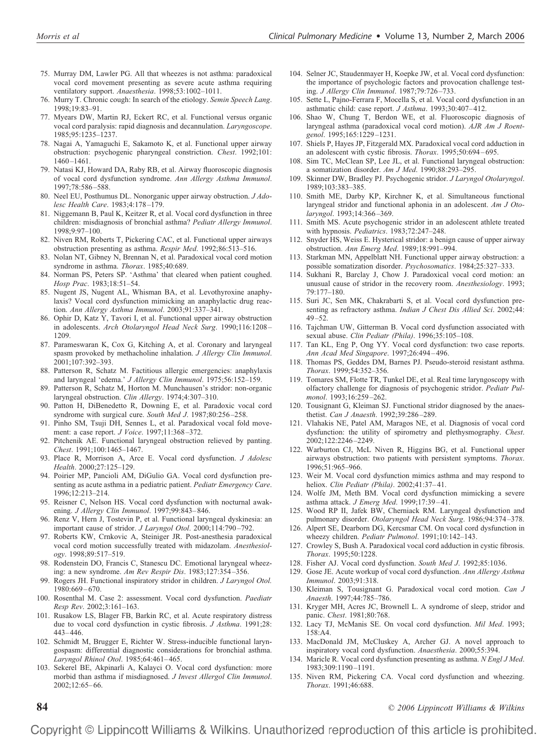- 75. Murray DM, Lawler PG. All that wheezes is not asthma: paradoxical vocal cord movement presenting as severe acute asthma requiring ventilatory support. *Anaesthesia*. 1998;53:1002–1011.
- 76. Murry T. Chronic cough: In search of the etiology. *Semin Speech Lang*. 1998;19:83–91.
- 77. Myears DW, Martin RJ, Eckert RC, et al. Functional versus organic vocal cord paralysis: rapid diagnosis and decannulation. *Laryngoscope*. 1985;95:1235–1237.
- 78. Nagai A, Yamaguchi E, Sakamoto K, et al. Functional upper airway obstruction: psychogenic pharyngeal constriction. *Chest*. 1992;101: 1460 –1461.
- 79. Natasi KJ, Howard DA, Raby RB, et al. Airway fluoroscopic diagnosis of vocal cord dysfunction syndrome. *Ann Allergy Asthma Immunol*. 1997;78:586 –588.
- 80. Neel EU, Posthumus DL. Nonorganic upper airway obstruction. *J Adolesc Health Care*. 1983;4:178 –179.
- 81. Niggemann B, Paul K, Keitzer R, et al. Vocal cord dysfunction in three children: misdiagnosis of bronchial asthma? *Pediatr Allergy Immunol*. 1998;9:97–100.
- 82. Niven RM, Roberts T, Pickering CAC, et al. Functional upper airways obstruction presenting as asthma. *Respir Med*. 1992;86:513–516.
- 83. Nolan NT, Gibney N, Brennan N, et al. Paradoxical vocal cord motion syndrome in asthma. *Thorax*. 1985;40:689.
- 84. Norman PS, Peters SP. 'Asthma' that cleared when patient coughed. *Hosp Prac*. 1983;18:51–54.
- 85. Nugent JS, Nugent AL, Whisman BA, et al. Levothyroxine anaphylaxis? Vocal cord dysfunction mimicking an anaphylactic drug reaction. *Ann Allergy Asthma Immunol*. 2003;91:337–341.
- 86. Ophir D, Katz Y, Tavori I, et al. Functional upper airway obstruction in adolescents. *Arch Otolaryngol Head Neck Surg*. 1990;116:1208 – 1209.
- 87. Parameswaran K, Cox G, Kitching A, et al. Coronary and laryngeal spasm provoked by methacholine inhalation. *J Allergy Clin Immunol*. 2001;107:392–393.
- 88. Patterson R, Schatz M. Factitious allergic emergencies: anaphylaxis and laryngeal 'edema.' *J Allergy Clin Immunol*. 1975;56:152–159.
- 89. Patterson R, Schatz M, Horton M. Munchausen's stridor: non-organic laryngeal obstruction. *Clin Allergy*. 1974;4:307–310.
- 90. Patton H, DiBenedetto R, Downing E, et al. Paradoxic vocal cord syndrome with surgical cure. *South Med J*. 1987;80:256 –258.
- 91. Pinho SM, Tsuji DH, Sennes L, et al. Paradoxical vocal fold movement: a case report. *J Voice*. 1997;11:368 –372.
- 92. Pitchenik AE. Functional laryngeal obstruction relieved by panting. *Chest*. 1991;100:1465–1467.
- 93. Place R, Morrison A, Arce E. Vocal cord dysfunction. *J Adolesc Health*. 2000;27:125–129.
- 94. Poirier MP, Pancioli AM, DiGulio GA. Vocal cord dysfunction presenting as acute asthma in a pediatric patient. *Pediatr Emergency Care*. 1996;12:213–214.
- 95. Reisner C, Nelson HS. Vocal cord dysfunction with nocturnal awakening. *J Allergy Clin Immunol*. 1997;99:843– 846.
- 96. Renz V, Hern J, Tostevin P, et al. Functional laryngeal dyskinesia: an important cause of stridor. *J Laryngol Otol*. 2000;114:790 –792.
- 97. Roberts KW, Crnkovic A, Steiniger JR. Post-anesthesia paradoxical vocal cord motion successfully treated with midazolam. *Anesthesiology*. 1998;89:517–519.
- 98. Rodenstein DO, Francis C, Stanescu DC. Emotional laryngeal wheezing: a new syndrome. *Am Rev Respir Dis*. 1983;127:354 –356.
- 99. Rogers JH. Functional inspiratory stridor in children. *J Laryngol Otol.* 1980:669 – 670.
- 100. Rosenthal M. Case 2: assessment. Vocal cord dysfunction. *Paediatr Resp Rev*. 2002;3:161–163.
- 101. Rusakow LS, Blager FB, Barkin RC, et al. Acute respiratory distress due to vocal cord dysfunction in cystic fibrosis. *J Asthma*. 1991;28: 443– 446.
- 102. Schmidt M, Brugger E, Richter W. Stress-inducible functional laryngospasm: differential diagnostic considerations for bronchial asthma. *Laryngol Rhinol Otol*. 1985;64:461– 465.
- 103. Sekerel BE, Akpinarli A, Kalayci O. Vocal cord dysfunction: more morbid than asthma if misdiagnosed. *J Invest Allergol Clin Immunol*. 2002;12:65– 66.
- 104. Selner JC, Staudenmayer H, Koepke JW, et al. Vocal cord dysfunction: the importance of psychologic factors and provocation challenge testing. *J Allergy Clin Immunol*. 1987;79:726 –733.
- 105. Sette L, Pajno-Ferrara F, Mocella S, et al. Vocal cord dysfunction in an asthmatic child: case report. *J Asthma*. 1993;30:407– 412.
- 106. Shao W, Chung T, Berdon WE, et al. Fluoroscopic diagnosis of laryngeal asthma (paradoxical vocal cord motion). *AJR Am J Roentgenol*. 1995;165:1229 –1231.
- 107. Shiels P, Hayes JP, Fitzgerald MX. Paradoxical vocal cord adduction in an adolescent with cystic fibrosis. *Thorax*. 1995;50:694 – 695.
- 108. Sim TC, McClean SP, Lee JL, et al. Functional laryngeal obstruction: a somatization disorder. *Am J Med*. 1990;88:293–295.
- 109. Skinner DW, Bradley PJ. Psychogenic stridor. *J Laryngol Otolaryngol*. 1989;103:383–385.
- 110. Smith ME, Darby KP, Kirchner K, et al. Simultaneous functional laryngeal stridor and functional aphonia in an adolescent. *Am J Otolaryngol*. 1993;14:366 –369.
- 111. Smith MS. Acute psychogenic stridor in an adolescent athlete treated with hypnosis. *Pediatrics*. 1983;72:247–248.
- 112. Snyder HS, Weiss E. Hysterical stridor: a benign cause of upper airway obstruction. *Ann Emerg Med*. 1989;18:991–994.
- 113. Starkman MN, Appelblatt NH. Functional upper airway obstruction: a possible somatization disorder. *Psychosomatics*. 1984;25:327–333.
- 114. Sukhani R, Barclay J, Chow J. Paradoxical vocal cord motion: an unusual cause of stridor in the recovery room. *Anesthesiology*. 1993; 79:177–180.
- 115. Suri JC, Sen MK, Chakrabarti S, et al. Vocal cord dysfunction presenting as refractory asthma. *Indian J Chest Dis Allied Sci*. 2002;44:  $49 - 52.$
- 116. Tajchman UW, Gitterman B. Vocal cord dysfunction associated with sexual abuse. *Clin Pediatr (Phila)*. 1996;35:105–108.
- 117. Tan KL, Eng P, Ong YY. Vocal cord dysfunction: two case reports. *Ann Acad Med Singapore*. 1997;26:494 – 496.
- 118. Thomas PS, Geddes DM, Barnes PJ. Pseudo-steroid resistant asthma. *Thorax*. 1999;54:352–356.
- 119. Tomares SM, Flotte TR, Tunkel DE, et al. Real time laryngoscopy with olfactory challenge for diagnosis of psychogenic stridor. *Pediatr Pulmonol*. 1993;16:259 –262.
- 120. Tousignant G, Kleiman SJ. Functional stridor diagnosed by the anaesthetist. *Can J Anaesth*. 1992;39:286 –289.
- 121. Vlahakis NE, Patel AM, Maragos NE, et al. Diagnosis of vocal cord dysfunction: the utility of spirometry and plethysmography. *Chest*. 2002;122:2246 –2249.
- 122. Warburton CJ, McL Niven R, Higgins BG, et al. Functional upper airways obstruction: two patients with persistent symptoms. *Thorax*. 1996;51:965–966.
- 123. Weir M. Vocal cord dysfunction mimics asthma and may respond to heliox. *Clin Pediatr (Phila)*. 2002;41:37– 41.
- 124. Wolfe JM, Meth BM. Vocal cord dysfunction mimicking a severe asthma attack. *J Emerg Med*. 1999;17:39 – 41.
- 125. Wood RP II, Jafek BW, Cherniack RM. Laryngeal dysfunction and pulmonary disorder. *Otolaryngol Head Neck Surg*. 1986;94:374 –378.
- 126. Alpert SE, Dearborn DG, Kercsmar CM. On vocal cord dysfunction in wheezy children. *Pediatr Pulmonol*. 1991;10:142–143.
- 127. Crowley S, Bush A. Paradoxical vocal cord adduction in cystic fibrosis. *Thorax*. 1995;50:1228.
- 128. Fisher AJ. Vocal cord dysfunction. *South Med J*. 1992;85:1036.
- 129. Gose JE. Acute workup of vocal cord dysfunction. *Ann Allergy Asthma Immunol*. 2003;91:318.
- 130. Kleiman S, Tousignant G. Paradoxical vocal cord motion. *Can J Anaesth*. 1997;44:785–786.
- 131. Kryger MH, Acres JC, Brownell L. A syndrome of sleep, stridor and panic. *Chest*. 1981;80:768.
- 132. Lacy TJ, McManis SE. On vocal cord dysfunction. *Mil Med*. 1993; 158:A4.
- 133. MacDonald JM, McCluskey A, Archer GJ. A novel approach to inspiratory vocal cord dysfunction. *Anaesthesia*. 2000;55:394.
- 134. Maricle R. Vocal cord dysfunction presenting as asthma. *N Engl J Med*. 1983;309:1190 –1191.
- 135. Niven RM, Pickering CA. Vocal cord dysfunction and wheezing. *Thorax*. 1991;46:688.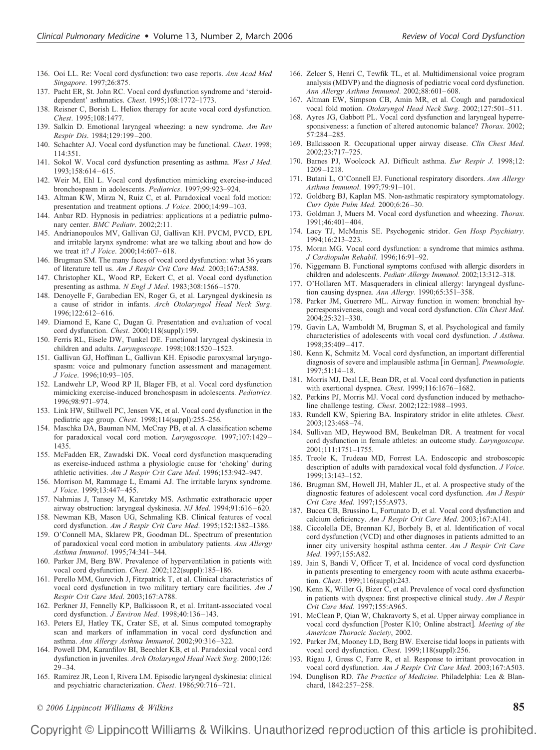- 136. Ooi LL. Re: Vocal cord dysfunction: two case reports. *Ann Acad Med Singapore*. 1997;26:875.
- 137. Pacht ER, St. John RC. Vocal cord dysfunction syndrome and 'steroiddependent' asthmatics. *Chest*. 1995;108:1772–1773.
- 138. Reisner C, Borish L. Heliox therapy for acute vocal cord dysfunction. *Chest*. 1995;108:1477.
- 139. Salkin D. Emotional laryngeal wheezing: a new syndrome. *Am Rev Respir Dis*. 1984;129:199 –200.
- 140. Schachter AJ. Vocal cord dysfunction may be functional. *Chest*. 1998; 114:351.
- 141. Sokol W. Vocal cord dysfunction presenting as asthma. *West J Med*. 1993;158:614 – 615.
- 142. Weir M, Ehl L. Vocal cord dysfunction mimicking exercise-induced bronchospasm in adolescents. *Pediatrics*. 1997;99:923–924.
- 143. Altman KW, Mirza N, Ruiz C, et al. Paradoxical vocal fold motion: presentation and treatment options. *J Voice*. 2000;14:99 –103.
- 144. Anbar RD. Hypnosis in pediatrics: applications at a pediatric pulmonary center. *BMC Pediatr*. 2002;2:11.
- 145. Andrianopoulos MV, Gallivan GJ, Gallivan KH. PVCM, PVCD, EPL and irritable larynx syndrome: what are we talking about and how do we treat it? *J Voice*. 2000;14:607– 618.
- 146. Brugman SM. The many faces of vocal cord dysfunction: what 36 years of literature tell us. *Am J Respir Crit Care Med*. 2003;167:A588.
- 147. Christopher KL, Wood RP, Eckert C, et al. Vocal cord dysfunction presenting as asthma. *N Engl J Med*. 1983;308:1566 –1570.
- 148. Denoyelle F, Garabedian EN, Roger G, et al. Laryngeal dyskinesia as a cause of stridor in infants. *Arch Otolaryngol Head Neck Surg*. 1996;122:612– 616.
- 149. Diamond E, Kane C, Dugan G. Presentation and evaluation of vocal cord dysfunction. *Chest*. 2000;118(suppl):199.
- 150. Ferris RL, Eisele DW, Tunkel DE. Functional laryngeal dyskinesia in children and adults. *Laryngoscope*. 1998;108:1520 –1523.
- 151. Gallivan GJ, Hoffman L, Gallivan KH. Episodic paroxysmal laryngospasm: voice and pulmonary function assessment and management. *J Voice*. 1996;10:93–105.
- 152. Landwehr LP, Wood RP II, Blager FB, et al. Vocal cord dysfunction mimicking exercise-induced bronchospasm in adolescents. *Pediatrics*. 1996;98:971–974.
- 153. Link HW, Stillwell PC, Jensen VK, et al. Vocal cord dysfunction in the pediatric age group. *Chest*. 1998;114(suppl):255–256.
- 154. Maschka DA, Bauman NM, McCray PB, et al. A classification scheme for paradoxical vocal cord motion. *Laryngoscope*. 1997;107:1429 – 1435.
- 155. McFadden ER, Zawadski DK. Vocal cord dysfunction masquerading as exercise-induced asthma a physiologic cause for 'choking' during athletic activities. *Am J Respir Crit Care Med*. 1996;153:942–947.
- 156. Morrison M, Rammage L, Emami AJ. The irritable larynx syndrome. *J Voice*. 1999;13:447– 455.
- 157. Nahmias J, Tansey M, Karetzky MS. Asthmatic extrathoracic upper airway obstruction: laryngeal dyskinesia. *NJ Med*. 1994;91:616 – 620.
- 158. Newman KB, Mason UG, Schmaling KB. Clinical features of vocal cord dysfunction. *Am J Respir Crit Care Med*. 1995;152:1382–1386.
- 159. O'Connell MA, Sklarew PR, Goodman DL. Spectrum of presentation of paradoxical vocal cord motion in ambulatory patients. *Ann Allergy Asthma Immunol*. 1995;74:341–344.
- 160. Parker JM, Berg BW. Prevalence of hyperventilation in patients with vocal cord dysfunction. *Chest*. 2002;122(suppl):185–186.
- 161. Perello MM, Gurevich J, Fitzpatrick T, et al. Clinical characteristics of vocal cord dysfunction in two military tertiary care facilities. *Am J Respir Crit Care Med*. 2003;167:A788.
- 162. Perkner JJ, Fennelly KP, Balkissoon R, et al. Irritant-associated vocal cord dysfunction. *J Environ Med*. 1998;40:136 –143.
- 163. Peters EJ, Hatley TK, Crater SE, et al. Sinus computed tomography scan and markers of inflammation in vocal cord dysfunction and asthma. *Ann Allergy Asthma Immunol*. 2002;90:316 –322.
- 164. Powell DM, Karanfilov BI, Beechler KB, et al. Paradoxical vocal cord dysfunction in juveniles. *Arch Otolaryngol Head Neck Surg*. 2000;126:  $29 - 34.$
- 165. Ramirez JR, Leon I, Rivera LM. Episodic laryngeal dyskinesia: clinical and psychiatric characterization. *Chest*. 1986;90:716 –721.
- 166. Zelcer S, Henri C, Tewfik TL, et al. Multidimensional voice program analysis (MDVP) and the diagnosis of pediatric vocal cord dysfunction. *Ann Allergy Asthma Immunol*. 2002;88:601– 608.
- 167. Altman EW, Simpson CB, Amin MR, et al. Cough and paradoxical vocal fold motion. *Otolaryngol Head Neck Surg*. 2002;127:501–511.
- 168. Ayres JG, Gabbott PL. Vocal cord dysfunction and laryngeal hyperresponsiveness: a function of altered autonomic balance? *Thorax*. 2002; 57:284 –285.
- 169. Balkissoon R. Occupational upper airway disease. *Clin Chest Med*. 2002;23:717–725.
- 170. Barnes PJ, Woolcock AJ. Difficult asthma. *Eur Respir J*. 1998;12: 1209 –1218.
- 171. Butani L, O'Connell EJ. Functional respiratory disorders. *Ann Allergy Asthma Immunol*. 1997;79:91–101.
- 172. Goldberg BJ, Kaplan MS. Non-asthmatic respiratory symptomatology. *Curr Opin Pulm Med*. 2000;6:26 –30.
- 173. Goldman J, Muers M. Vocal cord dysfunction and wheezing. *Thorax*. 1991;46:401– 404.
- 174. Lacy TJ, McManis SE. Psychogenic stridor. *Gen Hosp Psychiatry*. 1994;16:213–223.
- 175. Moran MG. Vocal cord dysfunction: a syndrome that mimics asthma. *J Cardiopulm Rehabil*. 1996;16:91–92.
- 176. Niggemann B. Functional symptoms confused with allergic disorders in children and adolescents. *Pediatr Allergy Immunol*. 2002;13:312–318.
- 177. O'Hollaren MT. Masqueraders in clinical allergy: laryngeal dysfunction causing dyspnea. *Ann Allergy*. 1990;65:351–358.
- 178. Parker JM, Guerrero ML. Airway function in women: bronchial hyperresponsiveness, cough and vocal cord dysfunction. *Clin Chest Med*. 2004;25:321–330.
- 179. Gavin LA, Wamboldt M, Brugman S, et al. Psychological and family characteristics of adolescents with vocal cord dysfunction. *J Asthma*. 1998;35:409 – 417.
- 180. Kenn K, Schmitz M. Vocal cord dysfunction, an important differential diagnosis of severe and implausible asthma [in German]. *Pneumologie*. 1997;51:14 –18.
- 181. Morris MJ, Deal LE, Bean DR, et al. Vocal cord dysfunction in patients with exertional dyspnea. *Chest*. 1999;116:1676 –1682.
- 182. Perkins PJ, Morris MJ. Vocal cord dysfunction induced by methacholine challenge testing. *Chest*. 2002;122:1988 –1993.
- 183. Rundell KW, Spiering BA. Inspiratory stridor in elite athletes. *Chest*. 2003;123:468 –74.
- 184. Sullivan MD, Heywood BM, Beukelman DR. A treatment for vocal cord dysfunction in female athletes: an outcome study. *Laryngoscope*. 2001;111:1751–1755.
- 185. Treole K, Trudeau MD, Forrest LA. Endoscopic and stroboscopic description of adults with paradoxical vocal fold dysfunction. *J Voice*. 1999;13:143–152.
- 186. Brugman SM, Howell JH, Mahler JL, et al. A prospective study of the diagnostic features of adolescent vocal cord dysfunction. *Am J Respir Crit Care Med*. 1997;155:A973.
- 187. Bucca CB, Brussino L, Fortunato D, et al. Vocal cord dysfunction and calcium deficiency. *Am J Respir Crit Care Med*. 2003;167:A141.
- 188. Ciccolella DE, Brennan KJ, Borbely B, et al. Identification of vocal cord dysfunction (VCD) and other diagnoses in patients admitted to an inner city university hospital asthma center. *Am J Respir Crit Care Med*. 1997;155:A82.
- 189. Jain S, Bandi V, Officer T, et al. Incidence of vocal cord dysfunction in patients presenting to emergency room with acute asthma exacerbation. *Chest*. 1999;116(suppl):243.
- 190. Kenn K, Willer G, Bizer C, et al. Prevalence of vocal cord dysfunction in patients with dyspnea: first prospective clinical study. *Am J Respir Crit Care Med*. 1997;155:A965.
- 191. McClean P, Qian W, Chakravorty S, et al. Upper airway compliance in vocal cord dysfunction [Poster K10; Online abstract]. Meeting of the *American Thoracic Society*, 2002.
- 192. Parker JM, Mooney LD, Berg BW. Exercise tidal loops in patients with vocal cord dysfunction. *Chest*. 1999;118(suppl):256.
- 193. Rigau J, Gress C, Farre R, et al. Response to irritant provocation in vocal cord dysfunction. *Am J Respir Crit Care Med*. 2003;167:A503.
- 194. Dunglison RD. *The Practice of Medicine*. Philadelphia: Lea & Blanchard, 1842:257–258.
- *© 2006 Lippincott Williams & Wilkins* **85**